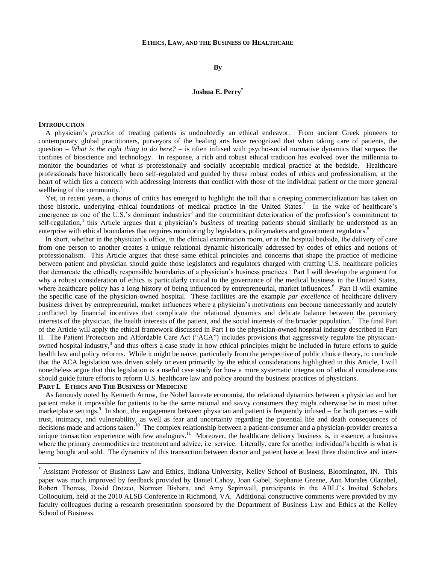**By**

## **Joshua E. Perry\***

### **INTRODUCTION**

A physician's *practice* of treating patients is undoubtedly an ethical endeavor. From ancient Greek pioneers to contemporary global practitioners, purveyors of the healing arts have recognized that when taking care of patients, the question – *What is the right thing to do here?* – is often infused with psycho-social normative dynamics that surpass the confines of bioscience and technology. In response, a rich and robust ethical tradition has evolved over the millennia to monitor the boundaries of what is professionally and socially acceptable medical practice at the bedside. Healthcare professionals have historically been self-regulated and guided by these robust codes of ethics and professionalism, at the heart of which lies a concern with addressing interests that conflict with those of the individual patient or the more general wellbeing of the community. $<sup>1</sup>$ </sup>

Yet, in recent years, a chorus of critics has emerged to highlight the toll that a creeping commercialization has taken on those historic, underlying ethical foundations of medical practice in the United States.<sup>2</sup> In the wake of healthcare's emergence as one of the U.S.'s dominant industries<sup>3</sup> and the concomitant deterioration of the profession's commitment to self-regulation,<sup>4</sup> this Article argues that a physician's *business* of treating patients should similarly be understood as an enterprise with ethical boundaries that requires monitoring by legislators, policymakers and government regulators.<sup>5</sup>

In short, whether in the physician's office, in the clinical examination room, or at the hospital bedside, the delivery of care from one person to another creates a unique relational dynamic historically addressed by codes of ethics and notions of professionalism. This Article argues that these same ethical principles and concerns that shape the practice of medicine between patient and physician should guide those legislators and regulators charged with crafting U.S. healthcare policies that demarcate the ethically responsible boundaries of a physician's business practices. Part I will develop the argument for why a robust consideration of ethics is particularly critical to the governance of the medical business in the United States, where healthcare policy has a long history of being influenced by entrepreneurial, market influences.<sup>6</sup> Part II will examine the specific case of the physician-owned hospital. These facilities are the example *par excellence* of healthcare delivery business driven by entrepreneurial, market influences where a physician's motivations can become unnecessarily and acutely conflicted by financial incentives that complicate the relational dynamics and delicate balance between the pecuniary interests of the physician, the health interests of the patient, and the social interests of the broader population.<sup>7</sup> The final Part of the Article will apply the ethical framework discussed in Part I to the physician-owned hospital industry described in Part II. The Patient Protection and Affordable Care Act ("ACA") includes provisions that aggressively regulate the physicianowned hospital industry,<sup>8</sup> and thus offers a case study in how ethical principles might be included in future efforts to guide health law and policy reforms. While it might be naïve, particularly from the perspective of public choice theory, to conclude that the ACA legislation was driven solely or even primarily by the ethical considerations highlighted in this Article, I will nonetheless argue that this legislation is a useful case study for how a more systematic integration of ethical considerations should guide future efforts to reform U.S. healthcare law and policy around the business practices of physicians.

## **PART I. ETHICS AND THE BUSINESS OF MEDICINE**

 $\overline{a}$ 

As famously noted by Kenneth Arrow, the Nobel laureate economist, the relational dynamics between a physician and her patient make it impossible for patients to be the same rational and savvy consumers they might otherwise be in most other marketplace settings.<sup>9</sup> In short, the engagement between physician and patient is frequently infused – for both parties – with trust, intimacy, and vulnerability, as well as fear and uncertainty regarding the potential life and death consequences of decisions made and actions taken.<sup>10</sup> The complex relationship between a patient-consumer and a physician-provider creates a unique transaction experience with few analogues.<sup>11</sup> Moreover, the healthcare delivery business is, in essence, a business where the primary commodities are treatment and advice, i.e. service. Literally, care for another individual's health is what is being bought and sold. The dynamics of this transaction between doctor and patient have at least three distinctive and inter-

<sup>\*</sup> Assistant Professor of Business Law and Ethics, Indiana University, Kelley School of Business, Bloomington, IN. This paper was much improved by feedback provided by Daniel Cahoy, Joan Gabel, Stephanie Greene, Ann Morales Olazabel, Robert Thomas, David Orozco, Norman Bishara, and Amy Sepinwall, participants in the ABLJ's Invited Scholars Colloquium, held at the 2010 ALSB Conference in Richmond, VA. Additional constructive comments were provided by my faculty colleagues during a research presentation sponsored by the Department of Business Law and Ethics at the Kelley School of Business.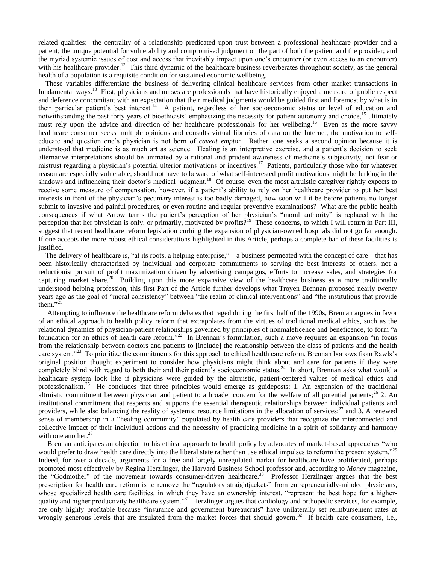related qualities: the centrality of a relationship predicated upon trust between a professional healthcare provider and a patient; the unique potential for vulnerability and compromised judgment on the part of both the patient and the provider; and the myriad systemic issues of cost and access that inevitably impact upon one's encounter (or even access to an encounter) with his healthcare provider.<sup>12</sup> This third dynamic of the healthcare business reverberates throughout society, as the general health of a population is a requisite condition for sustained economic wellbeing.

These variables differentiate the business of delivering clinical healthcare services from other market transactions in fundamental ways.<sup>13</sup> First, physicians and nurses are professionals that have historically enjoyed a measure of public respect and deference concomitant with an expectation that their medical judgments would be guided first and foremost by what is in their particular patient's best interest.<sup>14</sup> A patient, regardless of her socioeconomic status or level of education and notwithstanding the past forty years of bioethicists' emphasizing the necessity for patient autonomy and choice,<sup>15</sup> ultimately must rely upon the advice and direction of her healthcare professionals for her wellbeing.<sup>16</sup> Even as the more savvy healthcare consumer seeks multiple opinions and consults virtual libraries of data on the Internet, the motivation to selfeducate and question one's physician is not born of *caveat emptor*. Rather, one seeks a second opinion because it is understood that medicine is as much art as science. Healing is an interpretive exercise, and a patient's decision to seek alternative interpretations should be animated by a rational and prudent awareness of medicine's subjectivity, not fear or mistrust regarding a physician's potential ulterior motivations or incentives.<sup>17</sup> Patients, particularly those who for whatever reason are especially vulnerable, should not have to beware of what self-interested profit motivations might be lurking in the shadows and influencing their doctor's medical judgment.<sup>18</sup> Of course, even the most altruistic caregiver rightly expects to receive some measure of compensation, however, if a patient's ability to rely on her healthcare provider to put her best interests in front of the physician's pecuniary interest is too badly damaged, how soon will it be before patients no longer submit to invasive and painful procedures, or even routine and regular preventive examinations? What are the public health consequences if what Arrow terms the patient's perception of her physician's "moral authority" is replaced with the perception that her physician is only, or primarily, motivated by profits?<sup>19</sup> These concerns, to which I will return in Part III, suggest that recent healthcare reform legislation curbing the expansion of physician-owned hospitals did not go far enough. If one accepts the more robust ethical considerations highlighted in this Article, perhaps a complete ban of these facilities is justified.

The delivery of healthcare is, "at its roots, a helping enterprise,"—a business permeated with the concept of care—that has been historically characterized by individual and corporate commitments to serving the best interests of others, not a reductionist pursuit of profit maximization driven by advertising campaigns, efforts to increase sales, and strategies for capturing market share.<sup>20</sup> Building upon this more expansive view of the healthcare business as a more traditionally understood helping profession, this first Part of the Article further develops what Troyen Brennan proposed nearly twenty years ago as the goal of "moral consistency" between "the realm of clinical interventions" and "the institutions that provide  $then.$ <sup>21</sup>

 Attempting to influence the healthcare reform debates that raged during the first half of the 1990s, Brennan argues in favor of an ethical approach to health policy reform that extrapolates from the virtues of traditional medical ethics, such as the relational dynamics of physician-patient relationships governed by principles of nonmaleficence and beneficence, to form "a foundation for an ethics of health care reform."<sup>22</sup> In Brennan's formulation, such a move requires an expansion "in focus from the relationship between doctors and patients to [include] the relationship between the class of patients and the health care system."<sup>23</sup> To prioritize the commitments for this approach to ethical health care reform, Brennan borrows from Rawls's original position thought experiment to consider how physicians might think about and care for patients if they were completely blind with regard to both their and their patient's socioeconomic status.<sup>24</sup> In short, Brennan asks what would a healthcare system look like if physicians were guided by the altruistic, patient-centered values of medical ethics and professionalism.<sup>25</sup> He concludes that three principles would emerge as guideposts: 1. An expansion of the traditional altruistic commitment between physician and patient to a broader concern for the welfare of all potential patients; $^{26}$  2. An institutional commitment that respects and supports the essential therapeutic relationships between individual patients and providers, while also balancing the reality of systemic resource limitations in the allocation of services; $^{27}$  and 3. A renewed sense of membership in a "healing community" populated by health care providers that recognize the interconnected and collective impact of their individual actions and the necessity of practicing medicine in a spirit of solidarity and harmony with one another.<sup>28</sup>

Brennan anticipates an objection to his ethical approach to health policy by advocates of market-based approaches "who would prefer to draw health care directly into the liberal state rather than use ethical impulses to reform the present system.<sup>199</sup> Indeed, for over a decade, arguments for a free and largely unregulated market for healthcare have proliferated, perhaps promoted most effectively by Regina Herzlinger, the Harvard Business School professor and, according to *Money* magazine, the "Godmother" of the movement towards consumer-driven healthcare.<sup>30</sup> Professor Herzlinger argues that the best prescription for health care reform is to remove the "regulatory straightjackets" from entrepreneurially-minded physicians, whose specialized health care facilities, in which they have an ownership interest, "represent the best hope for a higherquality and higher productivity healthcare system."<sup>31</sup> Herzlinger argues that cardiology and orthopedic services, for example, are only highly profitable because "insurance and government bureaucrats" have unilaterally set reimbursement rates at wrongly generous levels that are insulated from the market forces that should govern.<sup>32</sup> If health care consumers, i.e.,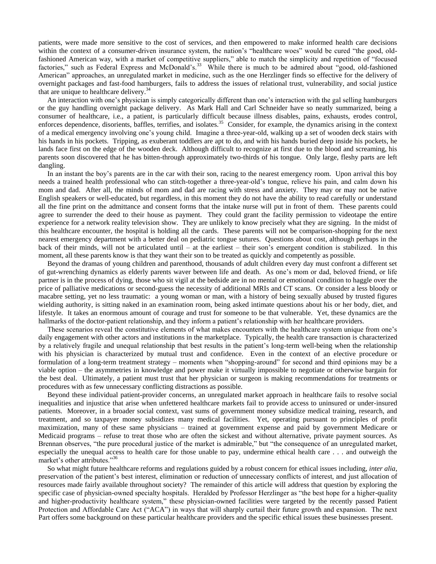patients, were made more sensitive to the cost of services, and then empowered to make informed health care decisions within the context of a consumer-driven insurance system, the nation's "healthcare woes" would be cured "the good, oldfashioned American way, with a market of competitive suppliers," able to match the simplicity and repetition of "focused factories," such as Federal Express and McDonald's.<sup>33</sup> While there is much to be admired about "good, old-fashioned American" approaches, an unregulated market in medicine, such as the one Herzlinger finds so effective for the delivery of overnight packages and fast-food hamburgers, fails to address the issues of relational trust, vulnerability, and social justice that are unique to healthcare delivery.<sup>34</sup>

 An interaction with one's physician is simply categorically different than one's interaction with the gal selling hamburgers or the guy handling overnight package delivery. As Mark Hall and Carl Schneider have so neatly summarized, being a consumer of healthcare, i.e., a patient, is particularly difficult because illness disables, pains, exhausts, erodes control, enforces dependence, disorients, baffles, terrifies, and isolates.<sup>35</sup> Consider, for example, the dynamics arising in the context of a medical emergency involving one's young child. Imagine a three-year-old, walking up a set of wooden deck stairs with his hands in his pockets. Tripping, as exuberant toddlers are apt to do, and with his hands buried deep inside his pockets, he lands face first on the edge of the wooden deck. Although difficult to recognize at first due to the blood and screaming, his parents soon discovered that he has bitten-through approximately two-thirds of his tongue. Only large, fleshy parts are left dangling.

 In an instant the boy's parents are in the car with their son, racing to the nearest emergency room. Upon arrival this boy needs a trained health professional who can stitch-together a three-year-old's tongue, relieve his pain, and calm down his mom and dad. After all, the minds of mom and dad are racing with stress and anxiety. They may or may not be native English speakers or well-educated, but regardless, in this moment they do not have the ability to read carefully or understand all the fine print on the admittance and consent forms that the intake nurse will put in front of them. These parents could agree to surrender the deed to their house as payment. They could grant the facility permission to videotape the entire experience for a network reality television show. They are unlikely to know precisely what they are signing. In the midst of this healthcare encounter, the hospital is holding all the cards. These parents will not be comparison-shopping for the next nearest emergency department with a better deal on pediatric tongue sutures. Questions about cost, although perhaps in the back of their minds, will not be articulated until – at the earliest – their son's emergent condition is stabilized. In this moment, all these parents know is that they want their son to be treated as quickly and competently as possible.

 Beyond the dramas of young children and parenthood, thousands of adult children every day must confront a different set of gut-wrenching dynamics as elderly parents waver between life and death. As one's mom or dad, beloved friend, or life partner is in the process of dying, those who sit vigil at the bedside are in no mental or emotional condition to haggle over the price of palliative medications or second-guess the necessity of additional MRIs and CT scans. Or consider a less bloody or macabre setting, yet no less traumatic: a young woman or man, with a history of being sexually abused by trusted figures wielding authority, is sitting naked in an examination room, being asked intimate questions about his or her body, diet, and lifestyle. It takes an enormous amount of courage and trust for someone to be that vulnerable. Yet, these dynamics are the hallmarks of the doctor-patient relationship, and they inform a patient's relationship with her healthcare providers.

 These scenarios reveal the constitutive elements of what makes encounters with the healthcare system unique from one's daily engagement with other actors and institutions in the marketplace. Typically, the health care transaction is characterized by a relatively fragile and unequal relationship that best results in the patient's long-term well-being when the relationship with his physician is characterized by mutual trust and confidence. Even in the context of an elective procedure or formulation of a long-term treatment strategy – moments when "shopping-around" for second and third opinions may be a viable option – the asymmetries in knowledge and power make it virtually impossible to negotiate or otherwise bargain for the best deal. Ultimately, a patient must trust that her physician or surgeon is making recommendations for treatments or procedures with as few unnecessary conflicting distractions as possible.

 Beyond these individual patient-provider concerns, an unregulated market approach in healthcare fails to resolve social inequalities and injustice that arise when unfettered healthcare markets fail to provide access to uninsured or under-insured patients. Moreover, in a broader social context, vast sums of government money subsidize medical training, research, and treatment, and so taxpayer money subsidizes many medical facilities. Yet, operating pursuant to principles of profit maximization, many of these same physicians – trained at government expense and paid by government Medicare or Medicaid programs – refuse to treat those who are often the sickest and without alternative, private payment sources. As Brennan observes, "the pure procedural justice of the market is admirable," but "the consequence of an unregulated market, especially the unequal access to health care for those unable to pay, undermine ethical health care . . . and outweigh the market's other attributes."<sup>36</sup>

 So what might future healthcare reforms and regulations guided by a robust concern for ethical issues including, *inter alia*, preservation of the patient's best interest, elimination or reduction of unnecessary conflicts of interest, and just allocation of resources made fairly available throughout society? The remainder of this article will address that question by exploring the specific case of physician-owned specialty hospitals. Heralded by Professor Herzlinger as "the best hope for a higher-quality and higher-productivity healthcare system," these physician-owned facilities were targeted by the recently passed Patient Protection and Affordable Care Act ("ACA") in ways that will sharply curtail their future growth and expansion. The next Part offers some background on these particular healthcare providers and the specific ethical issues these businesses present.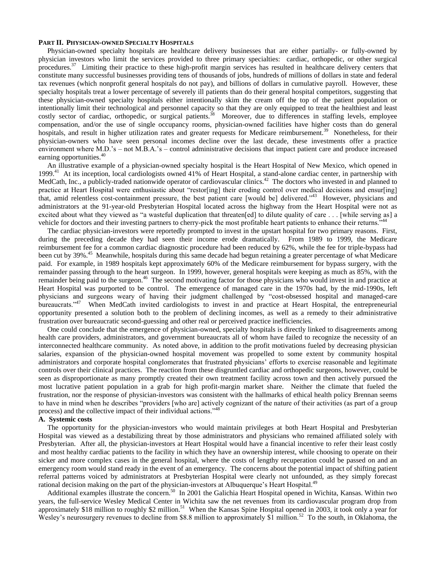### **PART II. PHYSICIAN-OWNED SPECIALTY HOSPITALS**

 Physician-owned specialty hospitals are healthcare delivery businesses that are either partially- or fully-owned by physician investors who limit the services provided to three primary specialties: cardiac, orthopedic, or other surgical procedures.<sup>37</sup> Limiting their practice to these high-profit margin services has resulted in healthcare delivery centers that constitute many successful businesses providing tens of thousands of jobs, hundreds of millions of dollars in state and federal tax revenues (which nonprofit general hospitals do not pay), and billions of dollars in cumulative payroll. However, these specialty hospitals treat a lower percentage of severely ill patients than do their general hospital competitors, suggesting that these physician-owned specialty hospitals either intentionally skim the cream off the top of the patient population or intentionally limit their technological and personnel capacity so that they are only equipped to treat the healthiest and least costly sector of cardiac, orthopedic, or surgical patients.<sup>38</sup> Moreover, due to differences in staffing levels, employee compensation, and/or the use of single occupancy rooms, physician-owned facilities have higher costs than do general hospitals, and result in higher utilization rates and greater requests for Medicare reimbursement.<sup>39</sup> Nonetheless, for their physician-owners who have seen personal incomes decline over the last decade, these investments offer a practice environment where M.D.'s – not M.B.A.'s – control administrative decisions that impact patient care and produce increased earning opportunities.<sup>40</sup>

 An illustrative example of a physician-owned specialty hospital is the Heart Hospital of New Mexico, which opened in 1999.<sup>41</sup> At its inception, local cardiologists owned 41% of Heart Hospital, a stand-alone cardiac center, in partnership with MedCath, Inc., a publicly-traded nationwide operator of cardiovascular clinics.<sup>42</sup> The doctors who invested in and planned to practice at Heart Hospital were enthusiastic about "restor[ing] their eroding control over medical decisions and ensur[ing] that, amid relentless cost-containment pressure, the best patient care [would be] delivered."<sup>43</sup> However, physicians and administrators at the 91-year-old Presbyterian Hospital located across the highway from the Heart Hospital were not as excited about what they viewed as "a wasteful duplication that threaten[ed] to dilute quality of care  $\dots$  [while serving as] a vehicle for doctors and their investing partners to cherry-pick the most profitable heart patients to enhance their returns.<sup>744</sup>

 The cardiac physician-investors were reportedly prompted to invest in the upstart hospital for two primary reasons. First, during the preceding decade they had seen their income erode dramatically. From 1989 to 1999, the Medicare reimbursement fee for a common cardiac diagnostic procedure had been reduced by 62%, while the fee for triple-bypass had been cut by 39%.<sup>45</sup> Meanwhile, hospitals during this same decade had begun retaining a greater percentage of what Medicare paid. For example, in 1989 hospitals kept approximately 60% of the Medicare reimbursement for bypass surgery, with the remainder passing through to the heart surgeon. In 1999, however, general hospitals were keeping as much as 85%, with the remainder being paid to the surgeon.<sup>46</sup> The second motivating factor for those physicians who would invest in and practice at Heart Hospital was purported to be control. The emergence of managed care in the 1970s had, by the mid-1990s, left physicians and surgeons weary of having their judgment challenged by "cost-obsessed hospital and managed-care bureaucrats."<sup>47</sup> When MedCath invited cardiologists to invest in and practice at Heart Hospital, the entrepreneurial opportunity presented a solution both to the problem of declining incomes, as well as a remedy to their administrative frustration over bureaucratic second-guessing and other real or perceived practice inefficiencies.

 One could conclude that the emergence of physician-owned, specialty hospitals is directly linked to disagreements among health care providers, administrators, and government bureaucrats all of whom have failed to recognize the necessity of an interconnected healthcare community. As noted above, in addition to the profit motivations fueled by decreasing physician salaries, expansion of the physician-owned hospital movement was propelled to some extent by community hospital administrators and corporate hospital conglomerates that frustrated physicians' efforts to exercise reasonable and legitimate controls over their clinical practices. The reaction from these disgruntled cardiac and orthopedic surgeons, however, could be seen as disproportionate as many promptly created their own treatment facility across town and then actively pursued the most lucrative patient population in a grab for high profit-margin market share. Neither the climate that fueled the frustration, nor the response of physician-investors was consistent with the hallmarks of ethical health policy Brennan seems to have in mind when he describes "providers [who are] actively cognizant of the nature of their activities (as part of a group process) and the collective impact of their individual actions."<sup>48</sup>

## **A. Systemic costs**

 The opportunity for the physician-investors who would maintain privileges at both Heart Hospital and Presbyterian Hospital was viewed as a destabilizing threat by those administrators and physicians who remained affiliated solely with Presbyterian. After all, the physician-investors at Heart Hospital would have a financial incentive to refer their least costly and most healthy cardiac patients to the facility in which they have an ownership interest, while choosing to operate on their sicker and more complex cases in the general hospital, where the costs of lengthy recuperation could be passed on and an emergency room would stand ready in the event of an emergency. The concerns about the potential impact of shifting patient referral patterns voiced by administrators at Presbyterian Hospital were clearly not unfounded, as they simply forecast rational decision making on the part of the physician-investors at Albuquerque's Heart Hospital.<sup>49</sup>

Additional examples illustrate the concern.<sup>50</sup> In 2001 the Galichia Heart Hospital opened in Wichita, Kansas. Within two years, the full-service Wesley Medical Center in Wichita saw the net revenues from its cardiovascular program drop from approximately \$18 million to roughly \$2 million.<sup>51</sup> When the Kansas Spine Hospital opened in 2003, it took only a year for Wesley's neurosurgery revenues to decline from \$8.8 million to approximately \$1 million.<sup>52</sup> To the south, in Oklahoma, the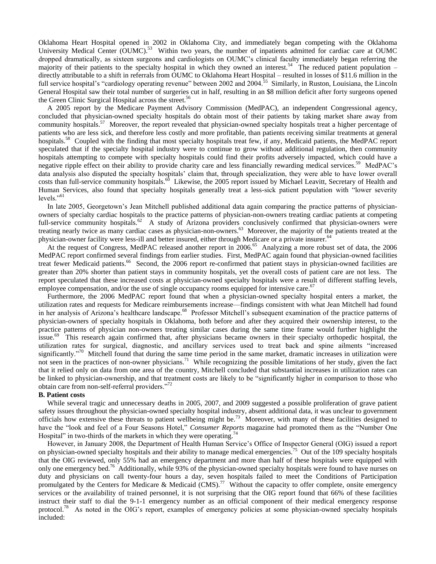Oklahoma Heart Hospital opened in 2002 in Oklahoma City, and immediately began competing with the Oklahoma University Medical Center (OUMC).<sup>53</sup> Within two years, the number of inpatients admitted for cardiac care at OUMC dropped dramatically, as sixteen surgeons and cardiologists on OUMC's clinical faculty immediately began referring the majority of their patients to the specialty hospital in which they owned an interest.<sup>54</sup> The reduced patient population – directly attributable to a shift in referrals from OUMC to Oklahoma Heart Hospital – resulted in losses of \$11.6 million in the full service hospital's "cardiology operating revenue" between 2002 and 2004.<sup>55</sup> Similarly, in Ruston, Louisiana, the Lincoln General Hospital saw their total number of surgeries cut in half, resulting in an \$8 million deficit after forty surgeons opened the Green Clinic Surgical Hospital across the street.<sup>56</sup>

A 2005 report by the Medicare Payment Advisory Commission (MedPAC), an independent Congressional agency, concluded that physician-owned specialty hospitals do obtain most of their patients by taking market share away from community hospitals.<sup>57</sup> Moreover, the report revealed that physician-owned specialty hospitals treat a higher percentage of patients who are less sick, and therefore less costly and more profitable, than patients receiving similar treatments at general hospitals.<sup>58</sup> Coupled with the finding that most specialty hospitals treat few, if any, Medicaid patients, the MedPAC report speculated that if the specialty hospital industry were to continue to grow without additional regulation, then community hospitals attempting to compete with specialty hospitals could find their profits adversely impacted, which could have a negative ripple effect on their ability to provide charity care and less financially rewarding medical services.<sup>59</sup> MedPAC's data analysis also disputed the specialty hospitals' claim that, through specialization, they were able to have lower overall costs than full-service community hospitals.<sup>60</sup> Likewise, the 2005 report issued by Michael Leavitt, Secretary of Health and Human Services, also found that specialty hospitals generally treat a less-sick patient population with "lower severity levels." $61$ 

 In late 2005, Georgetown's Jean Mitchell published additional data again comparing the practice patterns of physicianowners of specialty cardiac hospitals to the practice patterns of physician-non-owners treating cardiac patients at competing full-service community hospitals.<sup>62</sup> A study of Arizona providers conclusively confirmed that physician-owners were treating nearly twice as many cardiac cases as physician-non-owners.<sup>63</sup> Moreover, the majority of the patients treated at the physician-owner facility were less-ill and better insured, either through Medicare or a private insurer.<sup>64</sup>

At the request of Congress, MedPAC released another report in 2006.<sup>65</sup> Analyzing a more robust set of data, the 2006 MedPAC report confirmed several findings from earlier studies. First, MedPAC again found that physician-owned facilities treat fewer Medicaid patients.<sup>66</sup> Second, the 2006 report re-confirmed that patient stays in physician-owned facilities are greater than 20% shorter than patient stays in community hospitals, yet the overall costs of patient care are not less. The report speculated that these increased costs at physician-owned specialty hospitals were a result of different staffing levels, employee compensation, and/or the use of single occupancy rooms equipped for intensive care.<sup>67</sup>

 Furthermore, the 2006 MedPAC report found that when a physician-owned specialty hospital enters a market, the utilization rates and requests for Medicare reimbursements increase—findings consistent with what Jean Mitchell had found in her analysis of Arizona's healthcare landscape.<sup>68</sup> Professor Mitchell's subsequent examination of the practice patterns of physician-owners of specialty hospitals in Oklahoma, both before and after they acquired their ownership interest, to the practice patterns of physician non-owners treating similar cases during the same time frame would further highlight the issue.<sup>69</sup> This research again confirmed that, after physicians became owners in their specialty orthopedic hospital, the utilization rates for surgical, diagnostic, and ancillary services used to treat back and spine ailments "increased significantly."<sup>70</sup> Mitchell found that during the same time period in the same market, dramatic increases in utilization were not seen in the practices of non-owner physicians.<sup>71</sup> While recognizing the possible limitations of her study, given the fact that it relied only on data from one area of the country, Mitchell concluded that substantial increases in utilization rates can be linked to physician-ownership, and that treatment costs are likely to be "significantly higher in comparison to those who obtain care from non-self-referral providers."<sup>72</sup>

### **B. Patient costs**

 While several tragic and unnecessary deaths in 2005, 2007, and 2009 suggested a possible proliferation of grave patient safety issues throughout the physician-owned specialty hospital industry, absent additional data, it was unclear to government officials how extensive these threats to patient wellbeing might be.<sup>73</sup> Moreover, with many of these facilities designed to have the "look and feel of a Four Seasons Hotel," *Consumer Reports* magazine had promoted them as the "Number One Hospital" in two-thirds of the markets in which they were operating.<sup>7</sup>

 However, in January 2008, the Department of Health Human Service's Office of Inspector General (OIG) issued a report on physician-owned specialty hospitals and their ability to manage medical emergencies.<sup>75</sup> Out of the 109 specialty hospitals that the OIG reviewed, only 55% had an emergency department and more than half of these hospitals were equipped with only one emergency bed.<sup>76</sup> Additionally, while 93% of the physician-owned specialty hospitals were found to have nurses on duty and physicians on call twenty-four hours a day, seven hospitals failed to meet the Conditions of Participation promulgated by the Centers for Medicare & Medicaid (CMS).<sup>77</sup> Without the capacity to offer complete, onsite emergency services or the availability of trained personnel, it is not surprising that the OIG report found that 66% of these facilities instruct their staff to dial the 9-1-1 emergency number as an official component of their medical emergency response protocol.<sup>78</sup> As noted in the OIG's report, examples of emergency policies at some physician-owned specialty hospitals included: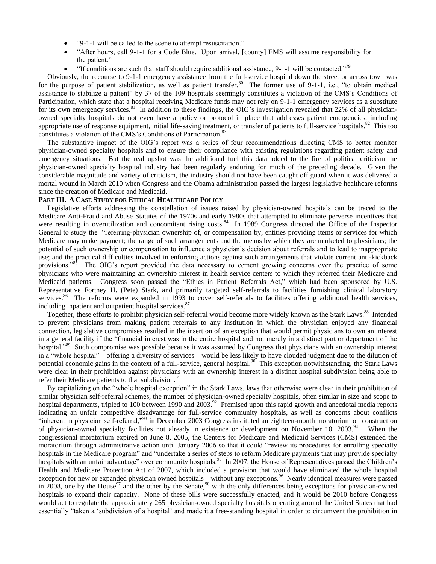- "9-1-1 will be called to the scene to attempt resuscitation."
- ―After hours, call 9-1-1 for a Code Blue. Upon arrival, [county] EMS will assume responsibility for the patient."
- "If conditions are such that staff should require additional assistance, 9-1-1 will be contacted.<sup>79</sup>

 Obviously, the recourse to 9-1-1 emergency assistance from the full-service hospital down the street or across town was for the purpose of patient stabilization, as well as patient transfer.<sup>80</sup> The former use of 9-1-1, i.e., "to obtain medical assistance to stabilize a patient" by 37 of the 109 hospitals seemingly constitutes a violation of the CMS's Conditions of Participation, which state that a hospital receiving Medicare funds may not rely on 9-1-1 emergency services as a substitute for its own emergency services.<sup>81</sup> In addition to these findings, the OIG's investigation revealed that 22% of all physicianowned specialty hospitals do not even have a policy or protocol in place that addresses patient emergencies, including appropriate use of response equipment, initial life-saving treatment, or transfer of patients to full-service hospitals.<sup>82</sup> This too constitutes a violation of the CMS's Conditions of Participation.<sup>83</sup>

 The substantive impact of the OIG's report was a series of four recommendations directing CMS to better monitor physician-owned specialty hospitals and to ensure their compliance with existing regulations regarding patient safety and emergency situations. But the real upshot was the additional fuel this data added to the fire of political criticism the physician-owned specialty hospital industry had been regularly enduring for much of the preceding decade. Given the considerable magnitude and variety of criticism, the industry should not have been caught off guard when it was delivered a mortal wound in March 2010 when Congress and the Obama administration passed the largest legislative healthcare reforms since the creation of Medicare and Medicaid.

# **PART III. A CASE STUDY FOR ETHICAL HEALTHCARE POLICY**

Legislative efforts addressing the constellation of issues raised by physician-owned hospitals can be traced to the Medicare Anti-Fraud and Abuse Statutes of the 1970s and early 1980s that attempted to eliminate perverse incentives that were resulting in overutilization and concomitant rising costs.<sup>84</sup> In 1989 Congress directed the Office of the Inspector General to study the "referring-physician ownership of, or compensation by, entities providing items or services for which Medicare may make payment; the range of such arrangements and the means by which they are marketed to physicians; the potential of such ownership or compensation to influence a physician's decision about referrals and to lead to inappropriate use; and the practical difficulties involved in enforcing actions against such arrangements that violate current anti-kickback provisions."<sup>85</sup> The OIG's report provided the data necessary to cement growing concerns over the practice of some physicians who were maintaining an ownership interest in health service centers to which they referred their Medicare and Medicaid patients. Congress soon passed the "Ethics in Patient Referrals Act," which had been sponsored by U.S. Representative Fortney H. (Pete) Stark, and primarily targeted self-referrals to facilities furnishing clinical laboratory services.<sup>86</sup> The reforms were expanded in 1993 to cover self-referrals to facilities offering additional health services, including inpatient and outpatient hospital services.<sup>87</sup>

Together, these efforts to prohibit physician self-referral would become more widely known as the Stark Laws.<sup>88</sup> Intended to prevent physicians from making patient referrals to any institution in which the physician enjoyed any financial connection, legislative compromises resulted in the insertion of an exception that would permit physicians to own an interest in a general facility if the "financial interest was in the entire hospital and not merely in a distinct part or department of the hospital.<sup>889</sup> Such compromise was possible because it was assumed by Congress that physicians with an ownership interest in a "whole hospital" – offering a diversity of services – would be less likely to have clouded judgment due to the dilution of potential economic gains in the context of a full-service, general hospital.<sup>90</sup> This exception notwithstanding, the Stark Laws were clear in their prohibition against physicians with an ownership interest in a distinct hospital subdivision being able to refer their Medicare patients to that subdivision.<sup>91</sup>

By capitalizing on the "whole hospital exception" in the Stark Laws, laws that otherwise were clear in their prohibition of similar physician self-referral schemes, the number of physician-owned specialty hospitals, often similar in size and scope to hospital departments, tripled to 100 between 1990 and 2003.<sup>92</sup> Premised upon this rapid growth and anecdotal media reports indicating an unfair competitive disadvantage for full-service community hospitals, as well as concerns about conflicts "inherent in physician self-referral,"<sup>93</sup> in December 2003 Congress instituted an eighteen-month moratorium on construction of physician-owned specialty facilities not already in existence or development on November 10, 2003.<sup>94</sup> When the congressional moratorium expired on June 8, 2005, the Centers for Medicare and Medicaid Services (CMS) extended the moratorium through administrative action until January 2006 so that it could "review its procedures for enrolling specialty hospitals in the Medicare program" and "undertake a series of steps to reform Medicare payments that may provide specialty hospitals with an unfair advantage" over community hospitals.<sup>95</sup> In 2007, the House of Representatives passed the Children's Health and Medicare Protection Act of 2007, which included a provision that would have eliminated the whole hospital exception for new or expanded physician owned hospitals – without any exceptions.<sup>96</sup> Nearly identical measures were passed in 2008, one by the House<sup>97</sup> and the other by the Senate,<sup>98</sup> with the only differences being exceptions for physician-owned hospitals to expand their capacity. None of these bills were successfully enacted, and it would be 2010 before Congress would act to regulate the approximately 265 physician-owned specialty hospitals operating around the United States that had essentially "taken a 'subdivision of a hospital' and made it a free-standing hospital in order to circumvent the prohibition in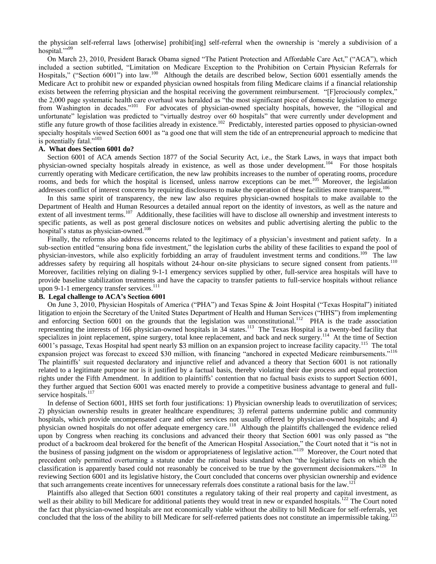the physician self-referral laws [otherwise] prohibit[ing] self-referral when the ownership is 'merely a subdivision of a hospital."<sup>99</sup>

On March 23, 2010, President Barack Obama signed "The Patient Protection and Affordable Care Act," ("ACA"), which included a section subtitled, "Limitation on Medicare Exception to the Prohibition on Certain Physician Referrals for Hospitals," ("Section 6001") into law.<sup>100</sup> Although the details are described below, Section 6001 essentially amends the Medicare Act to prohibit new or expanded physician owned hospitals from filing Medicare claims if a financial relationship exists between the referring physician and the hospital receiving the government reimbursement. "[F]erociously complex," the 2,000 page systematic health care overhaul was heralded as "the most significant piece of domestic legislation to emerge from Washington in decades."<sup>101</sup> For advocates of physician-owned specialty hospitals, however, the "illogical and unfortunate" legislation was predicted to "virtually destroy over 60 hospitals" that were currently under development and stifle any future growth of those facilities already in existence.<sup>102</sup> Predictably, interested parties opposed to physician-owned specialty hospitals viewed Section 6001 as "a good one that will stem the tide of an entrepreneurial approach to medicine that is potentially fatal."<sup>103</sup>

# **A. What does Section 6001 do?**

 Section 6001 of ACA amends Section 1877 of the Social Security Act, i.e., the Stark Laws, in ways that impact both physician-owned specialty hospitals already in existence, as well as those under development.<sup>104</sup> For those hospitals currently operating with Medicare certification, the new law prohibits increases to the number of operating rooms, procedure rooms, and beds for which the hospital is licensed, unless narrow exceptions can be met.<sup>105</sup> Moreover, the legislation addresses conflict of interest concerns by requiring disclosures to make the operation of these facilities more transparent.<sup>106</sup>

 In this same spirit of transparency, the new law also requires physician-owned hospitals to make available to the Department of Health and Human Resources a detailed annual report on the identity of investors, as well as the nature and extent of all investment terms.<sup>107</sup> Additionally, these facilities will have to disclose all ownership and investment interests to specific patients, as well as post general disclosure notices on websites and public advertising alerting the public to the hospital's status as physician-owned.<sup>108</sup>

 Finally, the reforms also address concerns related to the legitimacy of a physician's investment and patient safety. In a sub-section entitled "ensuring bona fide investment," the legislation curbs the ability of these facilities to expand the pool of physician-investors, while also explicitly forbidding an array of fraudulent investment terms and conditions.<sup>109</sup> The law addresses safety by requiring all hospitals without 24-hour on-site physicians to secure signed consent from patients.<sup>110</sup> Moreover, facilities relying on dialing 9-1-1 emergency services supplied by other, full-service area hospitals will have to provide baseline stabilization treatments and have the capacity to transfer patients to full-service hospitals without reliance upon 9-1-1 emergency transfer services.<sup>111</sup>

### **B. Legal challenge to ACA's Section 6001**

On June 3, 2010, Physician Hospitals of America ("PHA") and Texas Spine & Joint Hospital ("Texas Hospital") initiated litigation to enjoin the Secretary of the United States Department of Health and Human Services ("HHS") from implementing and enforcing Section 6001 on the grounds that the legislation was unconstitutional.<sup>112</sup> PHA is the trade association representing the interests of 166 physician-owned hospitals in 34 states.<sup>113</sup> The Texas Hospital is a twenty-bed facility that specializes in joint replacement, spine surgery, total knee replacement, and back and neck surgery.<sup>114</sup> At the time of Section 6001's passage, Texas Hospital had spent nearly \$3 million on an expansion project to increase facility capacity.<sup>115</sup> The total expansion project was forecast to exceed \$30 million, with financing "anchored in expected Medicare reimbursements."<sup>116</sup> The plaintiffs' suit requested declaratory and injunctive relief and advanced a theory that Section 6001 is not rationally related to a legitimate purpose nor is it justified by a factual basis, thereby violating their due process and equal protection rights under the Fifth Amendment. In addition to plaintiffs' contention that no factual basis exists to support Section 6001, they further argued that Section 6001 was enacted merely to provide a competitive business advantage to general and fullservice hospitals.<sup>117</sup>

 In defense of Section 6001, HHS set forth four justifications: 1) Physician ownership leads to overutilization of services; 2) physician ownership results in greater healthcare expenditures; 3) referral patterns undermine public and community hospitals, which provide uncompensated care and other services not usually offered by physician-owned hospitals; and 4) physician owned hospitals do not offer adequate emergency care.<sup>118</sup> Although the plaintiffs challenged the evidence relied upon by Congress when reaching its conclusions and advanced their theory that Section 6001 was only passed as "the product of a backroom deal brokered for the benefit of the American Hospital Association," the Court noted that it "is not in the business of passing judgment on the wisdom or appropriateness of legislative action."<sup>119</sup> Moreover, the Court noted that precedent only permitted overturning a statute under the rational basis standard when "the legislative facts on which the classification is apparently based could not reasonably be conceived to be true by the government decisionmakers."<sup>120</sup> In reviewing Section 6001 and its legislative history, the Court concluded that concerns over physician ownership and evidence that such arrangements create incentives for unnecessary referrals does constitute a rational basis for the law.<sup>121</sup>

 Plaintiffs also alleged that Section 6001 constitutes a regulatory taking of their real property and capital investment, as well as their ability to bill Medicare for additional patients they would treat in new or expanded hospitals.<sup>122</sup> The Court noted the fact that physician-owned hospitals are not economically viable without the ability to bill Medicare for self-referrals, yet concluded that the loss of the ability to bill Medicare for self-referred patients does not constitute an impermissible taking.<sup>123</sup>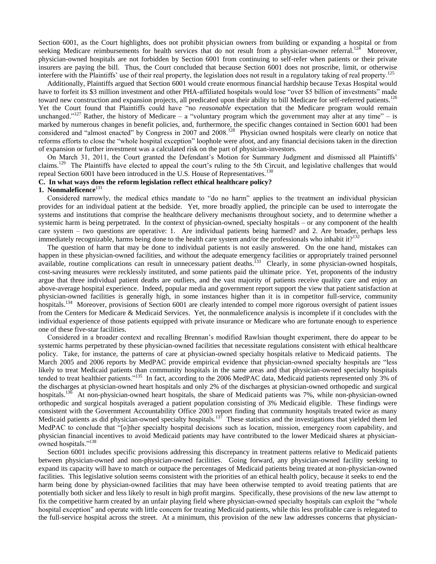Section 6001, as the Court highlights, does not prohibit physician owners from building or expanding a hospital or from seeking Medicare reimbursements for health services that do not result from a physician-owner referral.<sup>124</sup> Moreover, physician-owned hospitals are not forbidden by Section 6001 from continuing to self-refer when patients or their private insurers are paying the bill. Thus, the Court concluded that because Section 6001 does not proscribe, limit, or otherwise interfere with the Plaintiffs' use of their real property, the legislation does not result in a regulatory taking of real property.<sup>125</sup>

 Additionally, Plaintiffs argued that Section 6001 would create enormous financial hardship because Texas Hospital would have to forfeit its \$3 million investment and other PHA-affiliated hospitals would lose "over \$5 billion of investments" made toward new construction and expansion projects, all predicated upon their ability to bill Medicare for self-referred patients.<sup>126</sup> Yet the Court found that Plaintiffs could have "no *reasonable* expectation that the Medicare program would remain unchanged."<sup>127</sup> Rather, the history of Medicare – a "voluntary program which the government may alter at any time" – is marked by numerous changes in benefit policies, and, furthermore, the specific changes contained in Section 6001 had been considered and "almost enacted" by Congress in 2007 and 2008.<sup>128</sup> Physician owned hospitals were clearly on notice that reforms efforts to close the "whole hospital exception" loophole were afoot, and any financial decisions taken in the direction of expansion or further investment was a calculated risk on the part of physician-investors.

 On March 31, 2011, the Court granted the Defendant's Motion for Summary Judgment and dismissed all Plaintiffs' claims.<sup>129</sup> The Plaintiffs have elected to appeal the court's ruling to the 5th Circuit, and legislative challenges that would repeal Section 6001 have been introduced in the U.S. House of Representatives.<sup>130</sup>

## **C. In what ways does the reform legislation reflect ethical healthcare policy?**

### **1. Nonmaleficence**<sup>131</sup>

Considered narrowly, the medical ethics mandate to "do no harm" applies to the treatment an individual physician provides for an individual patient at the bedside. Yet, more broadly applied, the principle can be used to interrogate the systems and institutions that comprise the healthcare delivery mechanisms throughout society, and to determine whether a systemic harm is being perpetrated. In the context of physician-owned, specialty hospitals – or any component of the health care system – two questions are operative: 1. Are individual patients being harmed? and 2. Are broader, perhaps less immediately recognizable, harms being done to the health care system and/or the professionals who inhabit it?<sup>13</sup>

 The question of harm that may be done to individual patients is not easily answered. On the one hand, mistakes can happen in these physician-owned facilities, and without the adequate emergency facilities or appropriately trained personnel available, routine complications can result in unnecessary patient deaths.<sup>133</sup> Clearly, in some physician-owned hospitals, cost-saving measures were recklessly instituted, and some patients paid the ultimate price. Yet, proponents of the industry argue that three individual patient deaths are outliers, and the vast majority of patients receive quality care and enjoy an above-average hospital experience. Indeed, popular media and government report support the view that patient satisfaction at physician-owned facilities is generally high, in some instances higher than it is in competitor full-service, community hospitals.<sup>134</sup> Moreover, provisions of Section 6001 are clearly intended to compel more rigorous oversight of patient issues from the Centers for Medicare & Medicaid Services. Yet, the nonmaleficence analysis is incomplete if it concludes with the individual experience of those patients equipped with private insurance or Medicare who are fortunate enough to experience one of these five-star facilities.

 Considered in a broader context and recalling Brennan's modified Rawlsian thought experiment, there do appear to be systemic harms perpetrated by these physician-owned facilities that necessitate regulations consistent with ethical healthcare policy. Take, for instance, the patterns of care at physician-owned specialty hospitals relative to Medicaid patients. The March 2005 and 2006 reports by MedPAC provide empirical evidence that physician-owned specialty hospitals are "less likely to treat Medicaid patients than community hospitals in the same areas and that physician-owned specialty hospitals tended to treat healthier patients."<sup>135</sup> In fact, according to the 2006 MedPAC data, Medicaid patients represented only 3% of the discharges at physician-owned heart hospitals and only 2% of the discharges at physician-owned orthopedic and surgical hospitals.<sup>136</sup> At non-physician-owned heart hospitals, the share of Medicaid patients was 7%, while non-physician-owned orthopedic and surgical hospitals averaged a patient population consisting of 3% Medicaid eligible. These findings were consistent with the Government Accountability Office 2003 report finding that community hospitals treated twice as many Medicaid patients as did physician-owned specialty hospitals.<sup>137</sup> These statistics and the investigations that yielded them led MedPAC to conclude that "[o]ther specialty hospital decisions such as location, mission, emergency room capability, and physician financial incentives to avoid Medicaid patients may have contributed to the lower Medicaid shares at physicianowned hospitals."<sup>138</sup>

 Section 6001 includes specific provisions addressing this discrepancy in treatment patterns relative to Medicaid patients between physician-owned and non-physician-owned facilities. Going forward, any physician-owned facility seeking to expand its capacity will have to match or outpace the percentages of Medicaid patients being treated at non-physician-owned facilities. This legislative solution seems consistent with the priorities of an ethical health policy, because it seeks to end the harm being done by physician-owned facilities that may have been otherwise tempted to avoid treating patients that are potentially both sicker and less likely to result in high profit margins. Specifically, these provisions of the new law attempt to fix the competitive harm created by an unfair playing field where physician-owned specialty hospitals can exploit the "whole hospital exception" and operate with little concern for treating Medicaid patients, while this less profitable care is relegated to the full-service hospital across the street. At a minimum, this provision of the new law addresses concerns that physician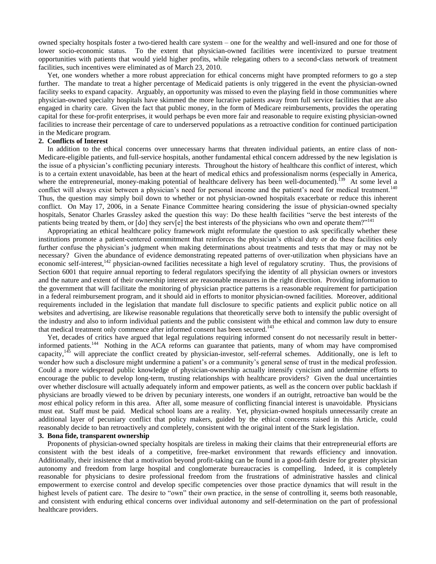owned specialty hospitals foster a two-tiered health care system – one for the wealthy and well-insured and one for those of lower socio-economic status. To the extent that physician-owned facilities were incentivized to pursue treatment opportunities with patients that would yield higher profits, while relegating others to a second-class network of treatment facilities, such incentives were eliminated as of March 23, 2010.

 Yet, one wonders whether a more robust appreciation for ethical concerns might have prompted reformers to go a step further. The mandate to treat a higher percentage of Medicaid patients is only triggered in the event the physician-owned facility seeks to expand capacity. Arguably, an opportunity was missed to even the playing field in those communities where physician-owned specialty hospitals have skimmed the more lucrative patients away from full service facilities that are also engaged in charity care. Given the fact that public money, in the form of Medicare reimbursements, provides the operating capital for these for-profit enterprises, it would perhaps be even more fair and reasonable to require existing physician-owned facilities to increase their percentage of care to underserved populations as a retroactive condition for continued participation in the Medicare program.

## **2. Conflicts of Interest**

 In addition to the ethical concerns over unnecessary harms that threaten individual patients, an entire class of non-Medicare-eligible patients, and full-service hospitals, another fundamental ethical concern addressed by the new legislation is the issue of a physician's conflicting pecuniary interests. Throughout the history of healthcare this conflict of interest, which is to a certain extent unavoidable, has been at the heart of medical ethics and professionalism norms (especially in America, where the entrepreneurial, money-making potential of healthcare delivery has been well-documented).<sup>139</sup> At some level a conflict will always exist between a physician's need for personal income and the patient's need for medical treatment.<sup>140</sup> Thus, the question may simply boil down to whether or not physician-owned hospitals exacerbate or reduce this inherent conflict. On May 17, 2006, in a Senate Finance Committee hearing considering the issue of physician-owned specialty hospitals, Senator Charles Grassley asked the question this way: Do these health facilities "serve the best interests of the patients being treated by them, or [do] they serv[e] the best interests of the physicians who own and operate them?"<sup>141</sup>

 Appropriating an ethical healthcare policy framework might reformulate the question to ask specifically whether these institutions promote a patient-centered commitment that reinforces the physician's ethical duty or do these facilities only further confuse the physician's judgment when making determinations about treatments and tests that may or may not be necessary? Given the abundance of evidence demonstrating repeated patterns of over-utilization when physicians have an economic self-interest, $142$  physician-owned facilities necessitate a high level of regulatory scrutiny. Thus, the provisions of Section 6001 that require annual reporting to federal regulators specifying the identity of all physician owners or investors and the nature and extent of their ownership interest are reasonable measures in the right direction. Providing information to the government that will facilitate the monitoring of physician practice patterns is a reasonable requirement for participation in a federal reimbursement program, and it should aid in efforts to monitor physician-owned facilities. Moreover, additional requirements included in the legislation that mandate full disclosure to specific patients and explicit public notice on all websites and advertising, are likewise reasonable regulations that theoretically serve both to intensify the public oversight of the industry and also to inform individual patients and the public consistent with the ethical and common law duty to ensure that medical treatment only commence after informed consent has been secured.<sup>143</sup>

 Yet, decades of critics have argued that legal regulations requiring informed consent do not necessarily result in betterinformed patients.<sup>144</sup> Nothing in the ACA reforms can guarantee that patients, many of whom may have compromised capacity, $145$  will appreciate the conflict created by physician-investor, self-referral schemes. Additionally, one is left to wonder how such a disclosure might undermine a patient's or a community's general sense of trust in the medical profession. Could a more widespread public knowledge of physician-ownership actually intensify cynicism and undermine efforts to encourage the public to develop long-term, trusting relationships with healthcare providers? Given the dual uncertainties over whether disclosure will actually adequately inform and empower patients, as well as the concern over public backlash if physicians are broadly viewed to be driven by pecuniary interests, one wonders if an outright, retroactive ban would be the *most* ethical policy reform in this area. After all, some measure of conflicting financial interest is unavoidable. Physicians must eat. Staff must be paid. Medical school loans are a reality. Yet, physician-owned hospitals unnecessarily create an additional layer of pecuniary conflict that policy makers, guided by the ethical concerns raised in this Article, could reasonably decide to ban retroactively and completely, consistent with the original intent of the Stark legislation.

## **3. Bona fide, transparent ownership**

 Proponents of physician-owned specialty hospitals are tireless in making their claims that their entrepreneurial efforts are consistent with the best ideals of a competitive, free-market environment that rewards efficiency and innovation. Additionally, their insistence that a motivation beyond profit-taking can be found in a good-faith desire for greater physician autonomy and freedom from large hospital and conglomerate bureaucracies is compelling. Indeed, it is completely reasonable for physicians to desire professional freedom from the frustrations of administrative hassles and clinical empowerment to exercise control and develop specific competencies over those practice dynamics that will result in the highest levels of patient care. The desire to "own" their own practice, in the sense of controlling it, seems both reasonable, and consistent with enduring ethical concerns over individual autonomy and self-determination on the part of professional healthcare providers.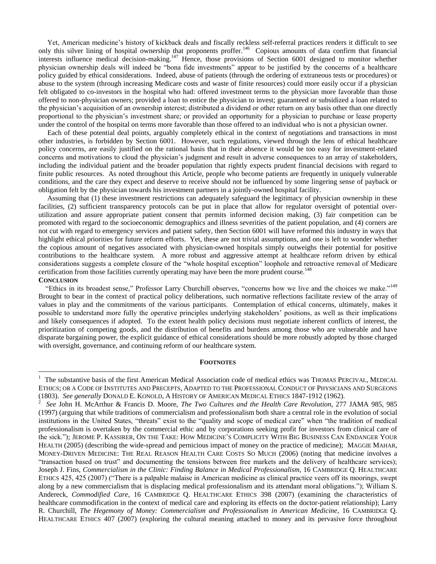Yet, American medicine's history of kickback deals and fiscally reckless self-referral practices renders it difficult to see only this silver lining of hospital ownership that proponents proffer.<sup>146</sup> Copious amounts of data confirm that financial interests influence medical decision-making.<sup>147</sup> Hence, those provisions of Section 6001 designed to monitor whether physician ownership deals will indeed be "bona fide investments" appear to be justified by the concerns of a healthcare policy guided by ethical considerations. Indeed, abuse of patients (through the ordering of extraneous tests or procedures) or abuse to the system (through increasing Medicare costs and waste of finite resources) could more easily occur if a physician felt obligated to co-investors in the hospital who had: offered investment terms to the physician more favorable than those offered to non-physician owners; provided a loan to entice the physician to invest; guaranteed or subsidized a loan related to the physician's acquisition of an ownership interest; distributed a dividend or other return on any basis other than one directly proportional to the physician's investment share; or provided an opportunity for a physician to purchase or lease property under the control of the hospital on terms more favorable than those offered to an individual who is not a physician owner.

 Each of these potential deal points, arguably completely ethical in the context of negotiations and transactions in most other industries, is forbidden by Section 6001. However, such regulations, viewed through the lens of ethical healthcare policy concerns, are easily justified on the rational basis that in their absence it would be too easy for investment-related concerns and motivations to cloud the physician's judgment and result in adverse consequences to an array of stakeholders, including the individual patient and the broader population that rightly expects prudent financial decisions with regard to finite public resources. As noted throughout this Article, people who become patients are frequently in uniquely vulnerable conditions, and the care they expect and deserve to receive should not be influenced by some lingering sense of payback or obligation felt by the physician towards his investment partners in a jointly-owned hospital facility.

 Assuming that (1) these investment restrictions can adequately safeguard the legitimacy of physician ownership in these facilities, (2) sufficient transparency protocols can be put in place that allow for regulator oversight of potential overutilization and assure appropriate patient consent that permits informed decision making, (3) fair competition can be promoted with regard to the socioeconomic demographics and illness severities of the patient population, and (4) corners are not cut with regard to emergency services and patient safety, then Section 6001 will have reformed this industry in ways that highlight ethical priorities for future reform efforts. Yet, these are not trivial assumptions, and one is left to wonder whether the copious amount of negatives associated with physician-owned hospitals simply outweighs their potential for positive contributions to the healthcare system. A more robust and aggressive attempt at healthcare reform driven by ethical considerations suggests a complete closure of the "whole hospital exception" loophole and retroactive removal of Medicare certification from those facilities currently operating may have been the more prudent course.<sup>148</sup> **CONCLUSION**

"Ethics in its broadest sense," Professor Larry Churchill observes, "concerns how we live and the choices we make."<sup>149</sup> Brought to bear in the context of practical policy deliberations, such normative reflections facilitate review of the array of values in play and the commitments of the various participants. Contemplation of ethical concerns, ultimately, makes it possible to understand more fully the operative principles underlying stakeholders' positions, as well as their implications and likely consequences if adopted. To the extent health policy decisions must negotiate inherent conflicts of interest, the prioritization of competing goods, and the distribution of benefits and burdens among those who are vulnerable and have disparate bargaining power, the explicit guidance of ethical considerations should be more robustly adopted by those charged with oversight, governance, and continuing reform of our healthcare system.

#### **FOOTNOTES**

 $\overline{\phantom{a}}$ 

<sup>1</sup> The substantive basis of the first American Medical Association code of medical ethics was THOMAS PERCIVAL, MEDICAL ETHICS; OR A CODE OF INSTITUTES AND PRECEPTS, ADAPTED TO THE PROFESSIONAL CONDUCT OF PHYSICIANS AND SURGEONS (1803). *See generally* DONALD E. KONOLD, A HISTORY OF AMERICAN MEDICAL ETHICS 1847-1912 (1962).<br><sup>2</sup> See John H. McArthur & Francis D. Moore, *The Two Cultures and the Haglik Care Boughtion*, 277

*See* John H. McArthur & Francis D. Moore, *The Two Cultures and the Health Care Revolution,* 277 JAMA 985, 985 (1997) (arguing that while traditions of commercialism and professionalism both share a central role in the evolution of social institutions in the United States, "threats" exist to the "quality and scope of medical care" when "the tradition of medical professionalism is overtaken by the commercial ethic and by corporations seeking profit for investors from clinical care of the sick.‖); JEROME P. KASSIRER, ON THE TAKE: HOW MEDICINE'S COMPLICITY WITH BIG BUSINESS CAN ENDANGER YOUR HEALTH (2005) (describing the wide-spread and pernicious impact of money on the practice of medicine); MAGGIE MAHAR, MONEY-DRIVEN MEDICINE: THE REAL REASON HEALTH CARE COSTS SO MUCH (2006) (noting that medicine involves a "transaction based on trust" and documenting the tensions between free markets and the delivery of healthcare services); Joseph J. Fins, *Commercialism in the Clinic: Finding Balance in Medical Professionalism*, 16 CAMBRIDGE Q. HEALTHCARE ETHICS 425, 425 (2007) ("There is a palpable malaise in American medicine as clinical practice veers off its moorings, swept along by a new commercialism that is displacing medical professionalism and its attendant moral obligations."); William S. Andereck, *Commodified Care*, 16 CAMBRIDGE Q. HEALTHCARE ETHICS 398 (2007) (examining the characteristics of healthcare commodification in the context of medical care and exploring its effects on the doctor-patient relationship); Larry R. Churchill, *The Hegemony of Money: Commercialism and Professionalism in American Medicine*, 16 CAMBRIDGE Q. HEALTHCARE ETHICS 407 (2007) (exploring the cultural meaning attached to money and its pervasive force throughout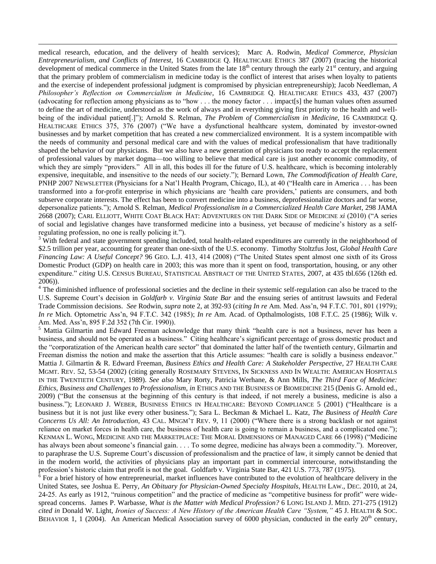medical research, education, and the delivery of health services); Marc A. Rodwin, *Medical Commerce, Physician Entrepreneurialism, and Conflicts of Interest*, 16 CAMBRIDGE Q. HEALTHCARE ETHICS 387 (2007) (tracing the historical development of medical commerce in the United States from the late  $18<sup>th</sup>$  century through the early  $21<sup>st</sup>$  century, and arguing that the primary problem of commercialism in medicine today is the conflict of interest that arises when loyalty to patients and the exercise of independent professional judgment is compromised by physician entrepreneurship); Jacob Needleman, *A Philosopher's Reflection on Commercialism in Medicine*, 16 CAMBRIDGE Q. HEALTHCARE ETHICS 433, 437 (2007) (advocating for reflection among physicians as to "how  $\ldots$  the money factor  $\ldots$  impact[s] the human values often assumed to define the art of medicine, understood as the work of always and in everything giving first priority to the health and wellbeing of the individual patient[.]"); Arnold S. Relman, *The Problem of Commercialism in Medicine*, 16 CAMBRIDGE Q. HEALTHCARE ETHICS 375, 376 (2007) ("We have a dysfunctional healthcare system, dominated by investor-owned businesses and by market competition that has created a new commercialized environment. It is a system incompatible with the needs of community and personal medical care and with the values of medical professionalism that have traditionally shaped the behavior of our physicians. But we also have a new generation of physicians too ready to accept the replacement of professional values by market dogma—too willing to believe that medical care is just another economic commodity, of which they are simply "providers." All in all, this bodes ill for the future of U.S. healthcare, which is becoming intolerably expensive, inequitable, and insensitive to the needs of our society.‖); Bernard Lown, *The Commodification of Health Care*, PNHP 2007 NEWSLETTER (Physicians for a Nat'l Health Program, Chicago, IL), at 40 ("Health care in America . . . has been transformed into a for-profit enterprise in which physicians are ‗health care providers,' patients are consumers, and both subserve corporate interests. The effect has been to convert medicine into a business, deprofessionalize doctors and far worse, depersonalize patients."); Arnold S. Relman, *Medical Professionalism in a Commercialized Health Care Market*, 298 JAMA 2668 (2007); CARL ELLIOTT, WHITE COAT BLACK HAT: ADVENTURES ON THE DARK SIDE OF MEDICINE *xi* (2010) ("A series of social and legislative changes have transformed medicine into a business, yet because of medicine's history as a selfregulating profession, no one is really policing it.").

 $\overline{a}$ 

<sup>3</sup> With federal and state government spending included, total health-related expenditures are currently in the neighborhood of \$2.5 trillion per year, accounting for greater than one-sixth of the U.S. economy. Timothy Stoltzfus Jost, *Global Health Care Financing Law: A Useful Concept?* 96 GEO. L.J. 413, 414 (2008) ("The United States spent almost one sixth of its Gross Domestic Product (GDP) on health care in 2003; this was more than it spent on food, transportation, housing, or any other expenditure." *citing* U.S. CENSUS BUREAU, STATISTICAL ABSTRACT OF THE UNITED STATES, 2007, at 435 tbl.656 (126th ed. 2006)).

<sup>4</sup> The diminished influence of professional societies and the decline in their systemic self-regulation can also be traced to the U.S. Supreme Court's decision in *Goldfarb v. Virginia State Bar* and the ensuing series of antitrust lawsuits and Federal Trade Commission decisions. *See* Rodwin, *supra* note 2, at 392-93 (*citing In re* Am. Med. Ass'n, 94 F.T.C. 701, 801 (1979); *In re* Mich. Optometric Ass'n, 94 F.T.C. 342 (1985); *In re* Am. Acad. of Opthalmologists, 108 F.T.C. 25 (1986); Wilk v. Am. Med. Ass'n, 895 F.2d 352 (7th Cir. 1990)).

<sup>5</sup> Mattia Gilmartin and Edward Freeman acknowledge that many think "health care is not a business, never has been a business, and should not be operated as a business." Citing healthcare's significant percentage of gross domestic product and the "corporatization of the American health care sector" that dominated the latter half of the twentieth century, Gilmartin and Freeman dismiss the notion and make the assertion that this Article assumes: "health care is solidly a business endeavor." Mattia J. Gilmartin & R. Edward Freeman, *Business Ethics and Health Care: A Stakeholder Perspective*, 27 HEALTH CARE MGMT. REV. 52, 53-54 (2002) (citing generally ROSEMARY STEVENS, IN SICKNESS AND IN WEALTH: AMERICAN HOSPITALS IN THE TWENTIETH CENTURY, 1989). *See also* Mary Rorty, Patricia Werhane, & Ann Mills, *The Third Face of Medicine: Ethics, Business and Challenges to Professionalism, in* ETHICS AND THE BUSINESS OF BIOMEDICINE 215 (Denis G. Arnold ed., 2009) ("But the consensus at the beginning of this century is that indeed, if not merely a business, medicine is also a business."); LEONARD J. WEBER, BUSINESS ETHICS IN HEALTHCARE: BEYOND COMPLIANCE 5 (2001) ("Healthcare is a business but it is not just like every other business.‖); Sara L. Beckman & Michael L. Katz, *The Business of Health Care Concerns Us All: An Introduction*, 43 CAL. MNGM'T REV. 9, 11 (2000) ("Where there is a strong backlash or not against reliance on market forces in health care, the business of health care is going to remain a business, and a complicated one."); KENMAN L. WONG, MEDICINE AND THE MARKETPLACE: THE MORAL DIMENSIONS OF MANAGED CARE 66 (1998) ("Medicine has always been about someone's financial gain. . . . To some degree, medicine has always been a commodity."). Moreover, to paraphrase the U.S. Supreme Court's discussion of professionalism and the practice of law, it simply cannot be denied that in the modern world, the activities of physicians play an important part in commercial intercourse, notwithstanding the profession's historic claim that profit is not the goal. Goldfarb v. Virginia State Bar, 421 U.S. 773, 787 (1975).<br><sup>6</sup> For a brief history of how entrepreneurial, market influences have contributed to the evolution of heal

United States, see Joshua E. Perry, *An Obituary for Physician-Owned Specialty Hospitals*, HEALTH LAW., DEC. 2010, at 24, 24-25. As early as 1912, "ruinous competition" and the practice of medicine as "competitive business for profit" were widespread concerns. James P. Warbasse, *What is the Matter with Medical Profession?* 6 LONG ISLAND J. MED. 271-275 (1912) *cited in* Donald W. Light, *Ironies of Success: A New History of the American Health Care "System,"* 45 J. HEALTH & SOC. BEHAVIOR 1, 1 (2004). An American Medical Association survey of 6000 physician, conducted in the early  $20<sup>th</sup>$  century,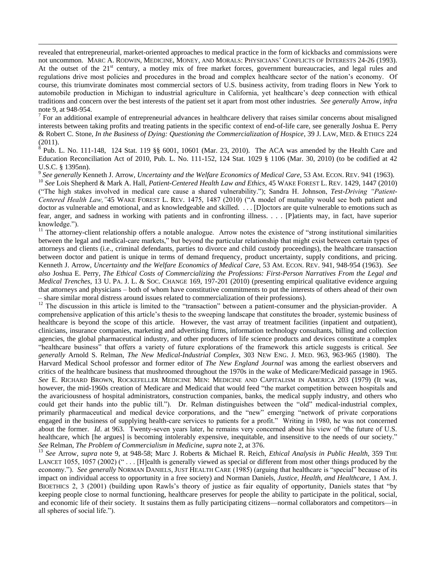revealed that entrepreneurial, market-oriented approaches to medical practice in the form of kickbacks and commissions were not uncommon. MARC A. RODWIN, MEDICINE, MONEY, AND MORALS: PHYSICIANS' CONFLICTS OF INTERESTS 24-26 (1993). At the outset of the 21<sup>st</sup> century, a motley mix of free market forces, government bureaucracies, and legal rules and regulations drive most policies and procedures in the broad and complex healthcare sector of the nation's economy. Of course, this triumvirate dominates most commercial sectors of U.S. business activity, from trading floors in New York to automobile production in Michigan to industrial agriculture in California, yet healthcare's deep connection with ethical traditions and concern over the best interests of the patient set it apart from most other industries. *See generally* Arrow, *infra* note 9, at 948-954.

 $\overline{a}$ 

 $<sup>7</sup>$  For an additional example of entrepreneurial advances in healthcare delivery that raises similar concerns about misaligned</sup> interests between taking profits and treating patients in the specific context of end-of-life care, see generally Joshua E. Perry & Robert C. Stone, *In the Business of Dying: Questioning the Commercialization of Hospice*, 39 J. LAW, MED. & ETHICS 224 (2011).

8 Pub. L. No. 111-148, 124 Stat. 119 §§ 6001, 10601 (Mar. 23, 2010). The ACA was amended by the Health Care and Education Reconciliation Act of 2010, Pub. L. No. 111-152, 124 Stat. 1029 § 1106 (Mar. 30, 2010) (to be codified at 42 U.S.C. § 1395nn).

9 *See generally* Kenneth J. Arrow, *Uncertainty and the Welfare Economics of Medical Care*, 53 AM. ECON. REV. 941 (1963).

<sup>10</sup> *See* Lois Shepherd & Mark A. Hall, *Patient-Centered Health Law and Ethics*, 45 WAKE FOREST L. REV. 1429, 1447 (2010) ("The high stakes involved in medical care cause a shared vulnerability."); Sandra H. Johnson, *Test-Driving* "Patient-*Centered Health Law,"45 WAKE FOREST L. REV. 1475, 1487 (2010)* ("A model of mutuality would see both patient and doctor as vulnerable and emotional, and as knowledgeable and skilled. . . . [D] octors are quite vulnerable to emotions such as fear, anger, and sadness in working with patients and in confronting illness. . . . [P]atients may, in fact, have superior knowledge.").

 $11$  The attorney-client relationship offers a notable analogue. Arrow notes the existence of "strong institutional similarities between the legal and medical-care markets," but beyond the particular relationship that might exist between certain types of attorneys and clients (i.e., criminal defendants, parties to divorce and child custody proceedings), the healthcare transaction between doctor and patient is unique in terms of demand frequency, product uncertainty, supply conditions, and pricing. Kenneth J. Arrow, *Uncertainty and the Welfare Economics of Medical Care*, 53 AM. ECON. REV. 941, 948-954 (1963). *See also* Joshua E. Perry, *The Ethical Costs of Commercializing the Professions: First-Person Narratives From the Legal and Medical Trenches*, 13 U. PA. J. L. & SOC. CHANGE 169, 197-201 (2010) (presenting empirical qualitative evidence arguing that attorneys and physicians – both of whom have constitutive commitments to put the interests of others ahead of their own – share similar moral distress around issues related to commercialization of their professions).

 $\frac{12}{12}$  The discussion in this article is limited to the "transaction" between a patient-consumer and the physician-provider. A comprehensive application of this article's thesis to the sweeping landscape that constitutes the broader, systemic business of healthcare is beyond the scope of this article. However, the vast array of treatment facilities (inpatient and outpatient), clinicians, insurance companies, marketing and advertising firms, information technology consultants, billing and collection agencies, the global pharmaceutical industry, and other producers of life science products and devices constitute a complex ―healthcare business‖ that offers a variety of future explorations of the framework this article suggests is critical. *See generally* Arnold S. Relman, *The New Medical-Industrial Complex*, 303 NEW ENG. J. MED. 963, 963-965 (1980). The Harvard Medical School professor and former editor of *The New England Journal* was among the earliest observers and critics of the healthcare business that mushroomed throughout the 1970s in the wake of Medicare/Medicaid passage in 1965. *See* E. RICHARD BROWN, ROCKEFELLER MEDICINE MEN: MEDICINE AND CAPITALISM IN AMERICA 203 (1979) (It was, however, the mid-1960s creation of Medicare and Medicaid that would feed "the market competition between hospitals and the avariciousness of hospital administrators, construction companies, banks, the medical supply industry, and others who could get their hands into the public till."). Dr. Relman distinguishes between the "old" medical-industrial complex, primarily pharmaceutical and medical device corporations, and the "new" emerging "network of private corporations engaged in the business of supplying health-care services to patients for a profit." Writing in 1980, he was not concerned about the former. *Id.* at 963. Twenty-seven years later, he remains very concerned about his view of "the future of U.S. healthcare, which [he argues] is becoming intolerably expensive, inequitable, and insensitive to the needs of our society." *See* Relman, *The Problem of Commercialism in Medicine*, *supra* note 2, at 376.

<sup>13</sup> See Arrow, *supra* note 9, at 948-58; Marc J. Roberts & Michael R. Reich, *Ethical Analysis in Public Health*, 359 THE LANCET 1055, 1057 (2002) (" $\ldots$  [H]ealth is generally viewed as special or different from most other things produced by the economy."). *See generally* NORMAN DANIELS, JUST HEALTH CARE (1985) (arguing that healthcare is "special" because of its impact on individual access to opportunity in a free society) and Norman Daniels, *Justice, Health, and Healthcare*, 1 AM. J. BIOETHICS 2, 3 (2001) (building upon Rawls's theory of justice as fair equality of opportunity, Daniels states that "by keeping people close to normal functioning, healthcare preserves for people the ability to participate in the political, social, and economic life of their society. It sustains them as fully participating citizens—normal collaborators and competitors—in all spheres of social life.").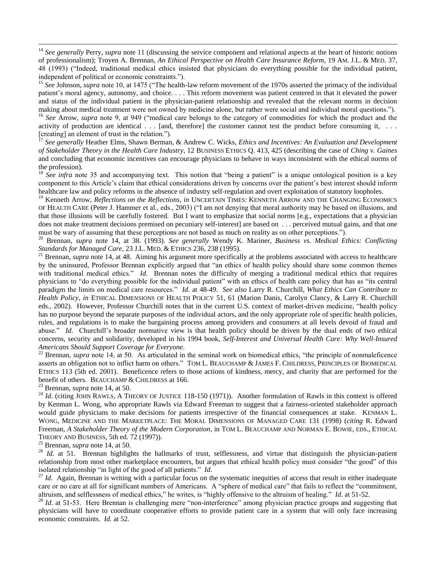<sup>14</sup> See generally Perry, *supra* note 11 (discussing the service component and relational aspects at the heart of historic notions of professionalism); Troyen A. Brennan, *An Ethical Perspective on Health Care Insurance Reform*, 19 AM. J.L. & MED. 37, 48 (1993) ("Indeed, traditional medical ethics insisted that physicians do everything possible for the individual patient, independent of political or economic constraints.").

<sup>15</sup> See Johnson, *supra* note 10, at 1475 ("The health-law reform movement of the 1970s asserted the primacy of the individual patient's moral agency, autonomy, and choice. . . . This reform movement was patient centered in that it elevated the power and status of the individual patient in the physician-patient relationship and revealed that the relevant norms in decision making about medical treatment were not owned by medicine alone, but rather were social and individual moral questions.").

<sup>16</sup> See Arrow, *supra* note 9, at 949 ("medical care belongs to the category of commodities for which the product and the activity of production are identical . . . [and, therefore] the customer cannot test the product before consuming it, . . . [creating] an element of trust in the relation.").

<sup>17</sup> *See generally* Heather Elms, Shawn Berman, & Andrew C. Wicks, *Ethics and Incentives: An Evaluation and Development of Stakeholder Theory in the Health Care Industry*, 12 BUSINESS ETHICS Q. 413, 425 (describing the case of *Ching v. Gaines*  and concluding that economic incentives can encourage physicians to behave in ways inconsistent with the ethical norms of the profession).

<sup>18</sup> *See infra* note 35 and accompanying text. This notion that "being a patient" is a unique ontological position is a key component to this Article's claim that ethical considerations driven by concerns over the patient's best interest should inform healthcare law and policy reforms in the absence of industry self-regulation and overt exploitation of statutory loopholes.

<sup>19</sup> Kenneth Arrow, *Reflections on the Reflections*, *in* UNCERTAIN TIMES: KENNETH ARROW AND THE CHANGING ECONOMICS OF HEALTH CARE (Peter J. Hammer et al., eds., 2003) ("I am not denying that moral authority may be based on illusions, and that those illusions will be carefully fostered. But I want to emphasize that social norms [e.g., expectations that a physician does not make treatment decisions premised on pecuniary self-interest are based on . . . perceived mutual gains, and that one must be wary of assuming that these perceptions are not based as much on reality as on other perceptions.").

<sup>20</sup> Brennan, *supra* note 14, at 38. (1993). *See generally* Wendy K. Mariner, *Business vs. Medical Ethics: Conflicting Standards for Managed Care*, 23 J.L. MED. & ETHICS 236, 238 (1995).

<sup>21</sup> Brennan, *supra* note 14, at 48. Aiming his argument more specifically at the problems associated with access to healthcare by the uninsured. Professor Brennan explicitly argued that "an ethics of health policy should share some common themes with traditional medical ethics.<sup>"</sup> *Id*. Brennan notes the difficulty of merging a traditional medical ethics that requires physicians to "do everything possible for the individual patient" with an ethics of health care policy that has as "its central paradigm the limits on medical care resources.‖ *Id*. at 48-49. *See also* Larry R. Churchill, *What Ethics Can Contribute to Health Policy*, *in* ETHICAL DIMENSIONS OF HEALTH POLICY 51, 61 (Marion Danis, Carolyn Clancy, & Larry R. Churchill eds., 2002). However, Professor Churchill notes that in the current U.S. context of market-driven medicine, "health policy has no purpose beyond the separate purposes of the individual actors, and the only appropriate role of specific health policies, rules, and regulations is to make the bargaining process among providers and consumers at all levels devoid of fraud and abuse." *Id.* Churchill's broader normative view is that health policy should be driven by the dual ends of two ethical concerns, security and solidarity, developed in his 1994 book, *Self-Interest and Universal Health Care: Why Well-Insured Americans Should Support Coverage for Everyone*.

<sup>22</sup> Brennan, *supra* note 14, at 50. As articulated in the seminal work on biomedical ethics, "the principle of nonmaleficence asserts an obligation not to inflict harm on others.‖ TOM L. BEAUCHAMP & JAMES F. CHILDRESS, PRINCIPLES OF BIOMEDICAL ETHICS 113 (5th ed. 2001). Beneficence refers to those actions of kindness, mercy, and charity that are performed for the benefit of others. BEAUCHAMP & CHILDRESS at 166.

<sup>23</sup> Brennan, *supra* note 14, at 50.

 $\overline{a}$ 

<sup>24</sup> *Id.* (citing JOHN RAWLS, A THEORY OF JUSTICE 118-150 (1971)). Another formulation of Rawls in this context is offered by Kenman L. Wong, who appropriate Rawls via Edward Freeman to suggest that a fairness-oriented stakeholder approach would guide physicians to make decisions for patients irrespective of the financial consequences at stake. KENMAN L. WONG, MEDICINE AND THE MARKETPLACE: THE MORAL DIMENSIONS OF MANAGED CARE 131 (1998) (*citing* R. Edward Freeman, *A Stakeholder Theory of the Modern Corporation*, in TOM L. BEAUCHAMP AND NORMAN E. BOWIE, EDS., ETHICAL THEORY AND BUSINESS, 5th ed. 72 (1997)).

<sup>25</sup> Brennan, *supra* note 14, at 50.

<sup>26</sup> *Id.* at 51. Brennan highlights the hallmarks of trust, selflessness, and virtue that distinguish the physician-patient relationship from most other marketplace encounters, but argues that ethical health policy must consider "the good" of this isolated relationship "in light of the good of all patients." *Id*.

<sup>27</sup> *Id.* Again, Brennan is writing with a particular focus on the systematic inequities of access that result in either inadequate care or no care at all for significant numbers of Americans. A "sphere of medical care" that fails to reflect the "commitment, altruism, and selflessness of medical ethics," he writes, is "highly offensive to the altruism of healing." *Id.* at 51-52.

<sup>28</sup> *Id.* at 51-53. Here Brennan is challenging mere "non-interference" among physician practice groups and suggesting that physicians will have to coordinate cooperative efforts to provide patient care in a system that will only face increasing economic constraints. *Id.* at 52.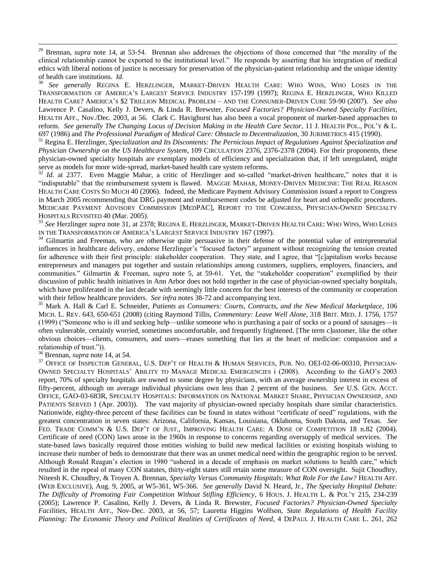<sup>29</sup> Brennan, *supra* note 14, at 53-54. Brennan also addresses the objections of those concerned that "the morality of the clinical relationship cannot be exported to the institutional level." He responds by asserting that his integration of medical ethics with liberal notions of justice is necessary for preservation of the physician-patient relationship and the unique identity of health care institutions. *Id*.

<sup>30</sup> *See generally* REGINA E. HERZLINGER, MARKET-DRIVEN HEALTH CARE: WHO WINS, WHO LOSES IN THE TRANSFORMATION OF AMERICA'S LARGEST SERVICE INDUSTRY 157-199 (1997); REGINA E. HERZLINGER, WHO KILLED HEALTH CARE? AMERICA'S \$2 TRILLION MEDICAL PROBLEM – AND THE CONSUMER-DRIVEN CURE 59-90 (2007). *See also* Lawrence P. Casalino, Kelly J. Devers, & Linda R. Brewster, *Focused Factories? Physician-Owned Specialty Facilities*, HEALTH AFF., Nov./Dec. 2003, at 56. Clark C. Havighurst has also been a vocal proponent of market-based approaches to reform. *See generally The Changing Locus of Decision Making in the Health Care Sector*, 11 J. HEALTH POL., POL'Y & L. 697 (1986) and *The Professional Paradigm of Medical Care: Obstacle to Decentralization*, 30 JURIMETRICS 415 (1990).

<sup>31</sup> Regina E. Herzlinger, *Specialization and Its Discontents: The Pernicious Impact of Regulations Against Specialization and Physician Ownership on the US Healthcare System*, 109 CIRCULATION 2376, 2376-2378 (2004). For their proponents, these physician-owned specialty hospitals are exemplary models of efficiency and specialization that, if left unregulated, might serve as models for more wide-spread, market-based health care system reforms.

 $32$  *Id.* at 2377. Even Maggie Mahar, a critic of Herzlinger and so-called "market-driven healthcare," notes that it is ―indisputable‖ that the reimbursement system is flawed. MAGGIE MAHAR, MONEY-DRIVEN MEDICINE: THE REAL REASON HEALTH CARE COSTS SO MUCH 40 (2006). Indeed, the Medicare Payment Advisory Commission issued a report to Congress in March 2005 recommending that DRG payment and reimbursement codes be adjusted for heart and orthopedic procedures. MEDICARE PAYMENT ADVISORY COMMISSION [MEDPAC], REPORT TO THE CONGRESS, PHYSICIAN-OWNED SPECIALTY HOSPITALS REVISITED 40 (Mar. 2005).

<sup>33</sup> *See* Herzlinger *supra* note 31, at 2378; REGINA E. HERZLINGER, MARKET-DRIVEN HEALTH CARE: WHO WINS, WHO LOSES IN THE TRANSFORMATION OF AMERICA'S LARGEST SERVICE INDUSTRY 167 (1997).

<sup>34</sup> Gilmartin and Freeman, who are otherwise quite persuasive in their defense of the potential value of entrepreneurial influences in healthcare delivery, endorse Herzlinger's "focused factory" argument without recognizing the tension created for adherence with their first principle: stakeholder cooperation. They state, and I agree, that "[c]apitalism works because entrepreneurs and managers put together and sustain relationships among customers, suppliers, employers, financiers, and communities." Gilmartin & Freeman, *supra* note 5, at 59-61. Yet, the "stakeholder cooperation" exemplified by their discussion of public health initiatives in Ann Arbor does not hold together in the case of physician-owned specialty hospitals, which have proliferated in the last decade with seemingly little concern for the best interests of the community or cooperation with their fellow healthcare providers. *See infra* notes 38-72 and accompanying text.

<sup>35</sup> Mark A. Hall & Carl E. Schneider, *Patients as Consumers: Courts, Contracts, and the New Medical Marketplace*, 106 MICH. L. REV. 643, 650-651 (2008) (citing Raymond Tillis, *Commentary: Leave Well Alone*, 318 BRIT. MED. J. 1756, 1757 (1999) ("Someone who is ill and seeking help—unlike someone who is purchasing a pair of socks or a pound of sausages—is often vulnerable, certainly worried, sometimes uncomfortable, and frequently frightened. [The term c]ustomer, like the other obvious choices—clients, consumers, and users—erases something that lies at the heart of medicine: compassion and a relationship of trust.")).

<sup>36</sup> Brennan, *supra* note 14, at 54.

 $\overline{a}$ 

<sup>37</sup> OFFICE OF INSPECTOR GENERAL, U.S. DEP'T OF HEALTH & HUMAN SERVICES, PUB. NO. OEI-02-06-00310, PHYSICIAN-OWNED SPECIALTY HOSPITALS' ABILITY TO MANAGE MEDICAL EMERGENCIES i (2008). According to the GAO's 2003 report, 70% of specialty hospitals are owned to some degree by physicians, with an average ownership interest in excess of fifty-percent, although on average individual physicians own less than 2 percent of the business. *See* U.S. GEN. ACCT. OFFICE, GAO-03-683R, SPECIALTY HOSPITALS: INFORMATION ON NATIONAL MARKET SHARE, PHYSICIAN OWNERSHIP, AND PATIENTS SERVED 1 (Apr. 2003)). The vast majority of physician-owned specialty hospitals share similar characteristics. Nationwide, eighty-three percent of these facilities can be found in states without "certificate of need" regulations, with the greatest concentration in seven states: Arizona, California, Kansas, Louisiana, Oklahoma, South Dakota, and Texas. *See*  FED. TRADE COMM'N & U.S. DEP'T OF JUST., IMPROVING HEALTH CARE: A DOSE OF COMPETITION 18 n.82 (2004). Certificate of need (CON) laws arose in the 1960s in response to concerns regarding oversupply of medical services. The state-based laws basically required those entities wishing to build new medical facilities or existing hospitals wishing to increase their number of beds to demonstrate that there was an unmet medical need within the geographic region to be served. Although Ronald Reagan's election in 1980 "ushered in a decade of emphasis on market solutions to health care," which resulted in the repeal of many CON statutes, thirty-eight states still retain some measure of CON oversight. Sujit Choudhry, Niteesh K. Choudhry, & Troyen A. Brennan, *Specialty Versus Community Hospitals: What Role For the Law?* HEALTH AFF. (WEB EXCLUSIVE), Aug. 9, 2005, at W5-361, W5-366. *See generally* David N. Heard, Jr., *The Specialty Hospital Debate: The Difficulty of Promoting Fair Competition Without Stifling Efficiency*, 6 HOUS. J. HEALTH L. & POL'Y 215, 234-239 (2005); Lawrence P. Casalino, Kelly J. Devers, & Linda R. Brewster, *Focused Factories? Physician-Owned Specialty Facilities*, HEALTH AFF., Nov-Dec. 2003, at 56, 57; Lauretta Higgins Wolfson, *State Regulations of Health Facility Planning: The Economic Theory and Political Realities of Certificates of Need*, 4 DEPAUL J. HEALTH CARE L. 261, 262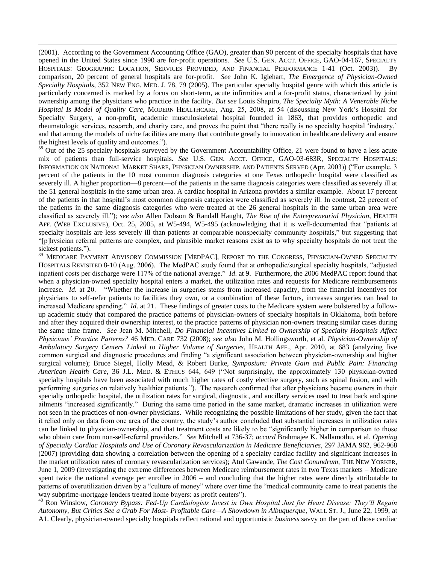(2001). According to the Government Accounting Office (GAO), greater than 90 percent of the specialty hospitals that have opened in the United States since 1990 are for-profit operations. *See* U.S. GEN. ACCT. OFFICE, GAO-04-167, SPECIALTY HOSPITALS: GEOGRAPHIC LOCATION, SERVICES PROVIDED, AND FINANCIAL PERFORMANCE 1-41 (Oct. 2003)). comparison, 20 percent of general hospitals are for-profit. *See* John K. Iglehart, *The Emergence of Physician-Owned Specialty Hospitals*, 352 NEW ENG. MED. J. 78, 79 (2005). The particular specialty hospital genre with which this article is particularly concerned is marked by a focus on short-term, acute infirmities and a for-profit status, characterized by joint ownership among the physicians who practice in the facility. *But see* Louis Shapiro, *The Specialty Myth: A Venerable Niche Hospital Is Model of Quality Care*, MODERN HEALTHCARE, Aug. 25, 2008, at 54 (discussing New York's Hospital for Specialty Surgery, a non-profit, academic musculoskeletal hospital founded in 1863, that provides orthopedic and rheumatologic services, research, and charity care, and proves the point that "there really is no specialty hospital 'industry,' and that among the models of niche facilities are many that contribute greatly to innovation in healthcare delivery and ensure the highest levels of quality and outcomes.").

 $\overline{a}$ 

<sup>38</sup> Out of the 25 specialty hospitals surveyed by the Government Accountability Office, 21 were found to have a less acute mix of patients than full-service hospitals. *See* U.S. GEN. ACCT. OFFICE, GAO-03-683R, SPECIALTY HOSPITALS: INFORMATION ON NATIONAL MARKET SHARE, PHYSICIAN OWNERSHIP, AND PATIENTS SERVED (Apr. 2003)) ("For example, 3 percent of the patients in the 10 most common diagnosis categories at one Texas orthopedic hospital were classified as severely ill. A higher proportion—8 percent—of the patients in the same diagnosis categories were classified as severely ill at the 51 general hospitals in the same urban area. A cardiac hospital in Arizona provides a similar example. About 17 percent of the patients in that hospital's most common diagnosis categories were classified as severely ill. In contrast, 22 percent of the patients in the same diagnosis categories who were treated at the 26 general hospitals in the same urban area were classified as severely ill.‖); *see also* Allen Dobson & Randall Haught, *The Rise of the Entrepreneurial Physician*, HEALTH AFF. (WEB EXCLUSIVE), Oct. 25, 2005, at W5-494, W5-495 (acknowledging that it is well-documented that "patients at specialty hospitals are less severely ill than patients at comparable nonspecialty community hospitals," but suggesting that ―[p]hysician referral patterns are complex, and plausible market reasons exist as to why specialty hospitals do not treat the sickest patients.").

<sup>39</sup> MEDICARE PAYMENT ADVISORY COMMISSION [MEDPAC], REPORT TO THE CONGRESS, PHYSICIAN-OWNED SPECIALTY HOSPITALS REVISITED 8-10 (Aug. 2006). The MedPAC study found that at orthopedic/surgical specialty hospitals, "adjusted inpatient costs per discharge were 117% of the national average." *Id.* at 9. Furthermore, the 2006 MedPAC report found that when a physician-owned specialty hospital enters a market, the utilization rates and requests for Medicare reimbursements increase. *Id.* at 20. "Whether the increase in surgeries stems from increased capacity, from the financial incentives for physicians to self-refer patients to facilities they own, or a combination of these factors, increases surgeries can lead to increased Medicare spending." *Id.* at 21. These findings of greater costs to the Medicare system were bolstered by a followup academic study that compared the practice patterns of physician-owners of specialty hospitals in Oklahoma, both before and after they acquired their ownership interest, to the practice patterns of physician non-owners treating similar cases during the same time frame. *See* Jean M. Mitchell, *Do Financial Incentives Linked to Ownership of Specialty Hospitals Affect Physicians' Practice Patterns?* 46 MED. CARE 732 (2008); *see also* John M. Hollingsworth, et al. *Physician-Ownership of Ambulatory Surgery Centers Linked to Higher Volume of Surgeries*, HEALTH AFF., Apr. 2010, at 683 (analyzing five common surgical and diagnostic procedures and finding "a significant association between physician-ownership and higher surgical volume); Bruce Siegel, Holly Mead, & Robert Burke, *Symposium: Private Gain and Public Pain: Financing American Health Care*, 36 J.L. MED. & ETHICS 644, 649 ("Not surprisingly, the approximately 130 physician-owned specialty hospitals have been associated with much higher rates of costly elective surgery, such as spinal fusion, and with performing surgeries on relatively healthier patients."). The research confirmed that after physicians became owners in their specialty orthopedic hospital, the utilization rates for surgical, diagnostic, and ancillary services used to treat back and spine ailments "increased significantly." During the same time period in the same market, dramatic increases in utilization were not seen in the practices of non-owner physicians. While recognizing the possible limitations of her study, given the fact that it relied only on data from one area of the country, the study's author concluded that substantial increases in utilization rates can be linked to physician-ownership, and that treatment costs are likely to be "significantly higher in comparison to those who obtain care from non-self-referral providers.‖ *See* Mitchell at 736-37; *accord* Brahmajee K. Nallamothu, et al. *Opening of Specialty Cardiac Hospitals and Use of Coronary Revascularization in Medicare Beneficiaries*, 297 JAMA 962, 962-968 (2007) (providing data showing a correlation between the opening of a specialty cardiac facility and significant increases in the market utilization rates of coronary revascularization services); Atul Gawande, *The Cost Conundrum*, THE NEW YORKER, June 1, 2009 (investigating the extreme differences between Medicare reimbursement rates in two Texas markets – Medicare spent twice the national average per enrollee in 2006 – and concluding that the higher rates were directly attributable to patterns of overutilization driven by a "culture of money" where over time the "medical community came to treat patients the way subprime-mortgage lenders treated home buyers: as profit centers").

<sup>40</sup> Ron Winslow, *Coronary Bypass: Fed-Up Cardiologists Invest in Own Hospital Just for Heart Disease: They'll Regain Autonomy, But Critics See a Grab For Most- Profitable Care—A Showdown in Albuquerque,* WALL ST. J., June 22, 1999, at A1. Clearly, physician-owned specialty hospitals reflect rational and opportunistic *business* savvy on the part of those cardiac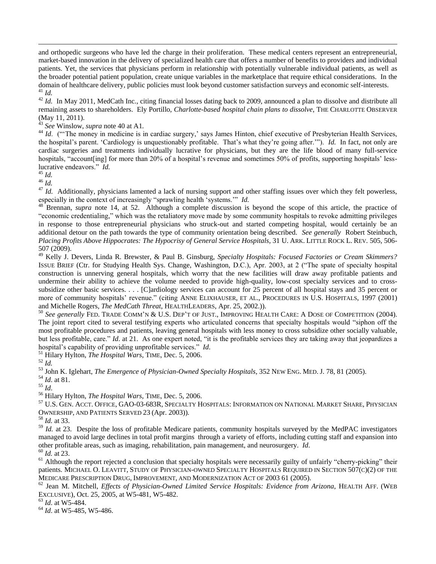and orthopedic surgeons who have led the charge in their proliferation. These medical centers represent an entrepreneurial, market-based innovation in the delivery of specialized health care that offers a number of benefits to providers and individual patients. Yet, the services that physicians perform in relationship with potentially vulnerable individual patients, as well as the broader potential patient population, create unique variables in the marketplace that require ethical considerations. In the domain of healthcare delivery, public policies must look beyond customer satisfaction surveys and economic self-interests. <sup>41</sup> *Id.*

<sup>42</sup> *Id.* In May 2011, MedCath Inc., citing financial losses dating back to 2009, announced a plan to dissolve and distribute all remaining assets to shareholders. Ely Portillo, *Charlotte-based hospital chain plans to dissolve*, THE CHARLOTTE OBSERVER (May 11, 2011).

<sup>43</sup> *See* Winslow, *supra* note 40 at A1*.*

<sup>44</sup> *Id.* ("The money in medicine is in cardiac surgery,' says James Hinton, chief executive of Presbyterian Health Services, the hospital's parent. 'Cardiology is unquestionably profitable. That's what they're going after.'"). *Id.* In fact, not only are cardiac surgeries and treatments individually lucrative for physicians, but they are the life blood of many full-service hospitals, "account [ing] for more than 20% of a hospital's revenue and sometimes 50% of profits, supporting hospitals' lesslucrative endeavors." *Id.* 

<sup>45</sup> *Id.*

 $46$   $\overline{1d}$ 

 $\overline{a}$ 

<sup>47</sup> *Id.* Additionally, physicians lamented a lack of nursing support and other staffing issues over which they felt powerless, especially in the context of increasingly "sprawling health 'systems.'" *Id.*<br><sup>48</sup> Brennan, *supra* note 14, at 50. All **11** 

Brennan, *supra* note 14, at 52. Although a complete discussion is beyond the scope of this article, the practice of ―economic credentialing,‖ which was the retaliatory move made by some community hospitals to revoke admitting privileges in response to those entrepreneurial physicians who struck-out and started competing hospital, would certainly be an additional detour on the path towards the type of community orientation being described. *See generally* Robert Steinbuch, *Placing Profits Above Hippocrates: The Hypocrisy of General Service Hospitals*, 31 U. ARK. LITTLE ROCK L. REV. 505, 506- 507 (2009).

<sup>49</sup> Kelly J. Devers, Linda R. Brewster, & Paul B. Ginsburg, *Specialty Hospitals: Focused Factories or Cream Skimmers?* ISSUE BRIEF (Ctr. for Studying Health Sys. Change, Washington, D.C.), Apr. 2003, at 2 ("The spate of specialty hospital construction is unnerving general hospitals, which worry that the new facilities will draw away profitable patients and undermine their ability to achieve the volume needed to provide high-quality, low-cost specialty services and to crosssubsidize other basic services. . . . [C]ardiology services can account for 25 percent of all hospital stays and 35 percent or more of community hospitals' revenue." (citing ANNE ELIXHAUSER, ET AL., PROCEDURES IN U.S. HOSPITALS, 1997 (2001) and Michelle Rogers, *The MedCath Threat*, HEALTHLEADERS, Apr. 25, 2002.)).

<sup>50</sup> *See generally* FED. TRADE COMM'N & U.S. DEP'T OF JUST., IMPROVING HEALTH CARE: A DOSE OF COMPETITION (2004). The joint report cited to several testifying experts who articulated concerns that specialty hospitals would "siphon off the most profitable procedures and patients, leaving general hospitals with less money to cross subsidize other socially valuable, but less profitable, care." *Id.* at 21. As one expert noted, "it is the profitable services they are taking away that jeopardizes a hospital's capability of providing unprofitable services." *Id.* 

<sup>51</sup> Hilary Hylton, *The Hospital Wars*, TIME, Dec. 5, 2006.

<sup>52</sup> *Id.*

<sup>53</sup> John K. Iglehart, *The Emergence of Physician-Owned Specialty Hospitals*, 352 NEW ENG. MED. J. 78, 81 (2005).

<sup>54</sup> *Id*. at 81.

<sup>55</sup> *Id*.

<sup>56</sup> Hilary Hylton, *The Hospital Wars*, TIME, Dec. 5, 2006.

<sup>57</sup> U.S. GEN. ACCT. OFFICE, GAO-03-683R, SPECIALTY HOSPITALS: INFORMATION ON NATIONAL MARKET SHARE, PHYSICIAN OWNERSHIP, AND PATIENTS SERVED 23 (Apr. 2003)).

<sup>58</sup> *Id.* at 33.

<sup>59</sup> *Id.* at 23. Despite the loss of profitable Medicare patients, community hospitals surveyed by the MedPAC investigators managed to avoid large declines in total profit margins through a variety of efforts, including cutting staff and expansion into other profitable areas, such as imaging, rehabilitation, pain management, and neurosurgery. *Id*.

<sup>60</sup> *Id.* at 23.

 $61$  Although the report rejected a conclusion that specialty hospitals were necessarily guilty of unfairly "cherry-picking" their patients. MICHAEL O. LEAVITT, STUDY OF PHYSICIAN-OWNED SPECIALTY HOSPITALS REQUIRED IN SECTION 507(C)(2) OF THE MEDICARE PRESCRIPTION DRUG, IMPROVEMENT, AND MODERNIZATION ACT OF 2003 61 (2005).

<sup>62</sup> Jean M. Mitchell, *Effects of Physician-Owned Limited Service Hospitals: Evidence from Arizona*, HEALTH AFF. (WEB EXCLUSIVE), Oct. 25, 2005, at W5-481, W5-482.

<sup>63</sup> *Id*. at W5-484.

<sup>64</sup> *Id*. at W5-485, W5-486.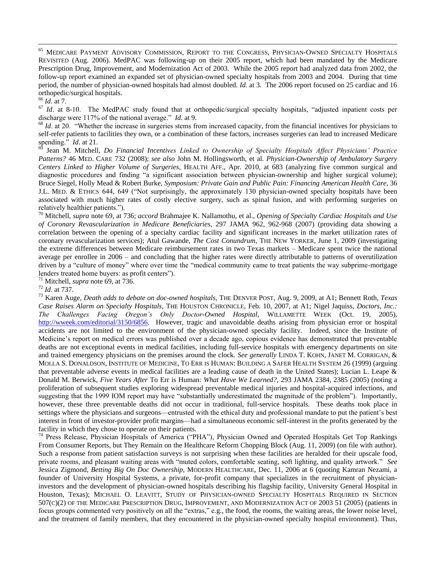<sup>65</sup> MEDICARE PAYMENT ADVISORY COMMISSION, REPORT TO THE CONGRESS, PHYSICIAN-OWNED SPECIALTY HOSPITALS REVISITED (Aug. 2006). MedPAC was following-up on their 2005 report, which had been mandated by the Medicare Prescription Drug, Improvement, and Modernization Act of 2003. While the 2005 report had analyzed data from 2002, the follow-up report examined an expanded set of physician-owned specialty hospitals from 2003 and 2004. During that time period, the number of physician-owned hospitals had almost doubled. *Id*. at 3. The 2006 report focused on 25 cardiac and 16 orthopedic/surgical hospitals.

<sup>66</sup> *Id*. at 7.

 $\overline{a}$ 

 $67$  *Id.* at 8-10. The MedPAC study found that at orthopedic/surgical specialty hospitals, "adjusted inpatient costs per discharge were 117% of the national average." *Id.* at 9.

<sup>68</sup> *Id.* at 20. "Whether the increase in surgeries stems from increased capacity, from the financial incentives for physicians to self-refer patients to facilities they own, or a combination of these factors, increases surgeries can lead to increased Medicare spending." *Id.* at 21.

<sup>69</sup> Jean M. Mitchell, *Do Financial Incentives Linked to Ownership of Specialty Hospitals Affect Physicians' Practice Patterns?* 46 MED. CARE 732 (2008); *see also* John M. Hollingsworth, et al. *Physician-Ownership of Ambulatory Surgery Centers Linked to Higher Volume of Surgeries*, HEALTH AFF., Apr. 2010, at 683 (analyzing five common surgical and diagnostic procedures and finding "a significant association between physician-ownership and higher surgical volume); Bruce Siegel, Holly Mead & Robert Burke, *Symposium: Private Gain and Public Pain: Financing American Health Care*, 36 J.L. MED. & ETHICS 644, 649 ("Not surprisingly, the approximately 130 physician-owned specialty hospitals have been associated with much higher rates of costly elective surgery, such as spinal fusion, and with performing surgeries on relatively healthier patients.").

<sup>70</sup> Mitchell, *supra* note 69, at 736; *accord* Brahmajee K. Nallamothu, et al., *Opening of Specialty Cardiac Hospitals and Use of Coronary Revascularization in Medicare Beneficiaries*, 297 JAMA 962, 962-968 (2007) (providing data showing a correlation between the opening of a specialty cardiac facility and significant increases in the market utilization rates of coronary revascularization services); Atul Gawande, *The Cost Conundrum*, THE NEW YORKER, June 1, 2009 (investigating the extreme differences between Medicare reimbursement rates in two Texas markets – Medicare spent twice the national average per enrollee in 2006 – and concluding that the higher rates were directly attributable to patterns of overutilization driven by a "culture of money" where over time the "medical community came to treat patients the way subprime-mortgage lenders treated home buyers: as profit centers").

<sup>71</sup> Mitchell, *supra* note 69, at 736.

<sup>72</sup> *Id*. at 737.

<sup>73</sup> Karen Auge, *Death adds to debate on doc-owned hospitals*, THE DENVER POST, Aug. 9, 2009, at A1; Bennett Roth, *Texas Case Raises Alarm on Specialty Hospitals*, THE HOUSTON CHRONICLE, Feb. 10, 2007, at A1; Nigel Jaquiss, *Doctors, Inc.: The Challenges Facing Oregon's Only Doctor-Owned Hospital*, WILLAMETTE WEEK (Oct. 19, 2005), [http://wweek.com/editorial/3150/6856.](http://wweek.com/editorial/3150/6856) However, tragic and unavoidable deaths arising from physician error or hospital accidents are not limited to the environment of the physician-owned specialty facility. Indeed, since the Institute of Medicine's report on medical errors was published over a decade ago, copious evidence has demonstrated that preventable deaths are not exceptional events in medical facilities, including full-service hospitals with emergency departments on site and trained emergency physicians on the premises around the clock. *See generally* LINDA T. KOHN, JANET M. CORRIGAN, & MOLLA S. DONALDSON, INSTITUTE OF MEDICINE, TO ERR IS HUMAN: BUILDING A SAFER HEALTH SYSTEM 26 (1999) (arguing that preventable adverse events in medical facilities are a leading cause of death in the United States); Lucian L. Leape & Donald M. Berwick, *Five Years After* To Err is Human: *What Have We Learned?*, 293 JAMA 2384, 2385 (2005) (noting a proliferation of subsequent studies exploring widespread preventable medical injuries and hospital-acquired infections, and suggesting that the 1999 IOM report may have "substantially underestimated the magnitude of the problem"). Importantly, however, these three preventable deaths did not occur in traditional, full-service hospitals. These deaths took place in settings where the physicians and surgeons—entrusted with the ethical duty and professional mandate to put the patient's best interest in front of investor-provider profit margins—had a simultaneous economic self-interest in the profits generated by the facility in which they chose to operate on their patients.

74 Press Release, Physician Hospitals of America ("PHA"), Physician Owned and Operated Hospitals Get Top Rankings From Consumer Reports, but They Remain on the Healthcare Reform Chopping Block (Aug. 11, 2009) (on file with author). Such a response from patient satisfaction surveys is not surprising when these facilities are heralded for their upscale food, private rooms, and pleasant waiting areas with "muted colors, comfortable seating, soft lighting, and quality artwork." *See* Jessica Zigmond, *Betting Big On Doc Ownership*, MODERN HEALTHCARE, Dec. 11, 2006 at 6 (quoting Kamran Nezami, a founder of University Hospital Systems, a private, for-profit company that specializes in the recruitment of physicianinvestors and the development of physician-owned hospitals describing his flagship facility, University General Hospital in Houston, Texas); MICHAEL O. LEAVITT, STUDY OF PHYSICIAN-OWNED SPECIALTY HOSPITALS REQUIRED IN SECTION 507(C)(2) OF THE MEDICARE PRESCRIPTION DRUG, IMPROVEMENT, AND MODERNIZATION ACT OF 2003 51 (2005) (patients in focus groups commented very positively on all the "extras," e.g., the food, the rooms, the waiting areas, the lower noise level, and the treatment of family members, that they encountered in the physician-owned specialty hospital environment). Thus,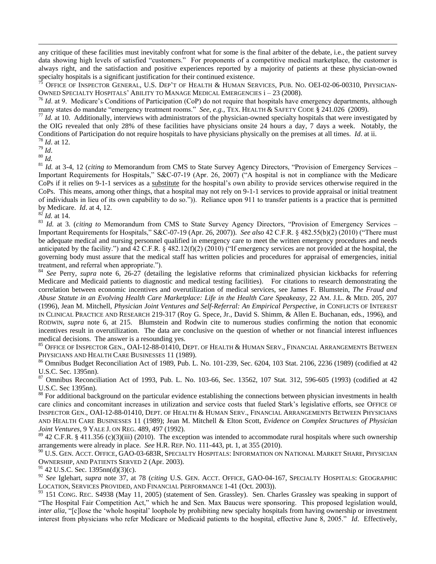any critique of these facilities must inevitably confront what for some is the final arbiter of the debate, i.e., the patient survey data showing high levels of satisfied "customers." For proponents of a competitive medical marketplace, the customer is always right, and the satisfaction and positive experiences reported by a majority of patients at these physician-owned specialty hospitals is a significant justification for their continued existence.

OFFICE OF INSPECTOR GENERAL, U.S. DEP'T OF HEALTH & HUMAN SERVICES, PUB. NO. OEI-02-06-00310, PHYSICIAN-OWNED SPECIALTY HOSPITALS' ABILITY TO MANAGE MEDICAL EMERGENCIES i – 23 (2008).

<sup>76</sup> *Id.* at 9. Medicare's Conditions of Participation (CoP) do not require that hospitals have emergency departments, although many states do mandate "emergency treatment rooms." See, e.g., TEX. HEALTH & SAFETY CODE § 241.026 (2009).

<sup>77</sup> *Id.* at 10. Additionally, interviews with administrators of the physician-owned specialty hospitals that were investigated by the OIG revealed that only 28% of these facilities have physicians onsite 24 hours a day, 7 days a week. Notably, the Conditions of Participation do not require hospitals to have physicians physically on the premises at all times. *Id*. at ii.

<sup>78</sup> *Id*. at 12. <sup>79</sup> *Id*.

 $\stackrel{80}{{}^{\circ}} \stackrel{ }{Id}.$ 

 $\overline{a}$ 

<sup>81</sup> *Id.* at 3-4, 12 (*citing to* Memorandum from CMS to State Survey Agency Directors, "Provision of Emergency Services – Important Requirements for Hospitals," S&C-07-19 (Apr. 26, 2007) ("A hospital is not in compliance with the Medicare CoPs if it relies on 9-1-1 services as a substitute for the hospital's own ability to provide services otherwise required in the CoPs. This means, among other things, that a hospital may not rely on 9-1-1 services to provide appraisal or initial treatment of individuals in lieu of its own capability to do so.‖)). Reliance upon 911 to transfer patients is a practice that is permitted by Medicare. *Id*. at 4, 12.

 $^{82}$  *Id.* at 14.

83 *Id.* at 3. (*citing to* Memorandum from CMS to State Survey Agency Directors, "Provision of Emergency Services – Important Requirements for Hospitals," S&C-07-19 (Apr. 26, 2007)). *See also* 42 C.F.R. § 482.55(b)(2) (2010) ("There must be adequate medical and nursing personnel qualified in emergency care to meet the written emergency procedures and needs anticipated by the facility.") and 42 C.F.R.  $\S$  482.12(f)(2) (2010) ("If emergency services are not provided at the hospital, the governing body must assure that the medical staff has written policies and procedures for appraisal of emergencies, initial treatment, and referral when appropriate.").

<sup>84</sup> *See* Perry, *supra* note 6, 26-27 (detailing the legislative reforms that criminalized physician kickbacks for referring Medicare and Medicaid patients to diagnostic and medical testing facilities). For citations to research demonstrating the correlation between economic incentives and overutilization of medical services, see James F. Blumstein, *The Fraud and Abuse Statute in an Evolving Health Care Marketplace: Life in the Health Care Speakeasy*, 22 AM. J.L. & MED. 205, 207 (1996), Jean M. Mitchell, *Physician Joint Ventures and Self-Referral: An Empirical Perspective, in* CONFLICTS OF INTEREST IN CLINICAL PRACTICE AND RESEARCH 219-317 (Roy G. Spece, Jr., David S. Shimm, & Allen E. Buchanan, eds., 1996), and RODWIN, *supra* note 6, at 215. Blumstein and Rodwin cite to numerous studies confirming the notion that economic incentives result in overutilization. The data are conclusive on the question of whether or not financial interest influences medical decisions. The answer is a resounding yes.

<sup>85</sup> Office of Inspector Gen., OAI-12-88-01410, Dept. of Health & Human Serv., Financial Arrangements Between PHYSICIANS AND HEALTH CARE BUSINESSES 11 (1989).

<sup>86</sup> Omnibus Budget Reconciliation Act of 1989, Pub. L. No. 101-239, Sec. 6204, 103 Stat. 2106, 2236 (1989) (codified at 42 U.S.C. Sec. 1395nn).

 $87$  Omnibus Reconciliation Act of 1993, Pub. L. No. 103-66, Sec. 13562, 107 Stat. 312, 596-605 (1993) (codified at 42 U.S.C. Sec 1395nn).

<sup>88</sup> For additional background on the particular evidence establishing the connections between physician investments in health care clinics and concomitant increases in utilization and service costs that fueled Stark's legislative efforts, see OFFICE OF INSPECTOR GEN., OAI-12-88-01410, DEPT. OF HEALTH & HUMAN SERV., FINANCIAL ARRANGEMENTS BETWEEN PHYSICIANS AND HEALTH CARE BUSINESSES 11 (1989); Jean M. Mitchell & Elton Scott, *Evidence on Complex Structures of Physician Joint Ventures*, 9 YALE J. ON REG. 489, 497 (1992).

 $89$  42 C.F.R. § 411.356 (c)(3)(iii) (2010). The exception was intended to accommodate rural hospitals where such ownership arrangements were already in place. *See* H.R. REP. NO. 111-443, pt. 1, at 355 (2010).

 $^{90}$  U.S. Gen. Acct. Office, GAO-03-683R, Specialty Hospitals: Information on National Market Share, Physician OWNERSHIP, AND PATIENTS SERVED 2 (Apr. 2003).

 $91$  42 U.S.C. Sec. 1395nn(d)(3)(c).

<sup>92</sup> *See* Iglehart, *supra* note 37, at 78 (*citing* U.S. GEN. ACCT. OFFICE, GAO-04-167, SPECIALTY HOSPITALS: GEOGRAPHIC LOCATION, SERVICES PROVIDED, AND FINANCIAL PERFORMANCE 1-41 (Oct. 2003)).

93 151 CONG. REC. S4938 (May 11, 2005) (statement of Sen. Grassley). Sen. Charles Grassley was speaking in support of ―The Hospital Fair Competition Act,‖ which he and Sen. Max Baucus were sponsoring. This proposed legislation would, *inter alia,* "[c]lose the 'whole hospital' loophole by prohibiting new specialty hospitals from having ownership or investment interest from physicians who refer Medicare or Medicaid patients to the hospital, effective June 8, 2005." *Id.* Effectively,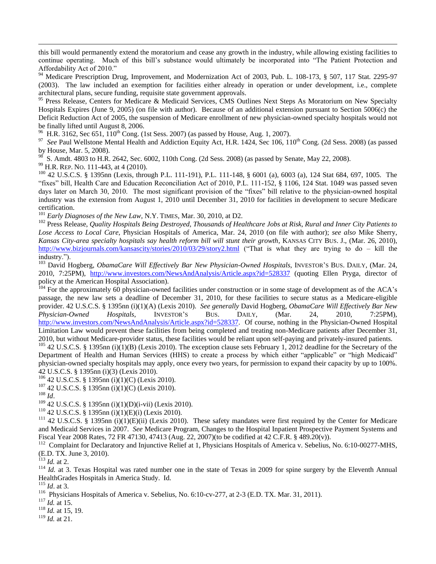this bill would permanently extend the moratorium and cease any growth in the industry, while allowing existing facilities to continue operating. Much of this bill's substance would ultimately be incorporated into "The Patient Protection and Affordability Act of 2010."

<sup>94</sup> Medicare Prescription Drug, Improvement, and Modernization Act of 2003, Pub. L. 108-173, § 507, 117 Stat. 2295-97 (2003). The law included an exemption for facilities either already in operation or under development, i.e., complete architectural plans, secure funding, requisite state government approvals.

<sup>95</sup> Press Release, Centers for Medicare & Medicaid Services, CMS Outlines Next Steps As Moratorium on New Specialty Hospitals Expires (June 9, 2005) (on file with author). Because of an additional extension pursuant to Section 5006(c) the Deficit Reduction Act of 2005, the suspension of Medicare enrollment of new physician-owned specialty hospitals would not be finally lifted until August 8, 2006.

96 H.R. 3162, Sec 651,  $110^{th}$  Cong. (1st Sess. 2007) (as passed by House, Aug. 1, 2007).

<sup>97</sup> See Paul Wellstone Mental Health and Addiction Equity Act, H.R. 1424, Sec 106, 110<sup>th</sup> Cong. (2d Sess. 2008) (as passed by House, Mar. 5, 2008).

98 S. Amdt. 4803 to H.R. 2642, Sec. 6002, 110th Cong. (2d Sess. 2008) (as passed by Senate, May 22, 2008).

<sup>99</sup> H.R. REP. No. 111-443, at 4 (2010).

 $\overline{a}$ 

<sup>100</sup> 42 U.S.C.S. § 1395nn (Lexis, through P.L. 111-191), P.L. 111-148, § 6001 (a), 6003 (a), 124 Stat 684, 697, 1005. The "fixes" bill, Health Care and Education Reconciliation Act of 2010, P.L. 111-152, § 1106, 124 Stat. 1049 was passed seven days later on March 30, 2010. The most significant provision of the "fixes" bill relative to the physician-owned hospital industry was the extension from August 1, 2010 until December 31, 2010 for facilities in development to secure Medicare certification.

<sup>101</sup> *Early Diagnoses of the New Law*, N.Y. TIMES, Mar. 30, 2010, at D2.

<sup>102</sup> Press Release, *Quality Hospitals Being Destroyed, Thousands of Healthcare Jobs at Risk, Rural and Inner City Patients to Lose Access to Local Care*, Physician Hospitals of America, Mar. 24, 2010 (on file with author); *see also* Mike Sherry, *Kansas City-area specialty hospitals say health reform bill will stunt their growth*, KANSAS CITY BUS. J., (Mar. 26, 2010), <http://www.bizjournals.com/kansascity/stories/2010/03/29/story2.html> ("That is what they are trying to do – kill the industry.").

<sup>103</sup> David Hogberg, *ObamaCare Will Effectively Bar New Physician-Owned Hospitals*, INVESTOR'S BUS. DAILY, (Mar. 24, 2010, 7:25PM), <http://www.investors.com/NewsAndAnalysis/Article.aspx?id=528337> (quoting Ellen Pryga, director of policy at the American Hospital Association).

<sup>104</sup> For the approximately 60 physician-owned facilities under construction or in some stage of development as of the ACA's passage, the new law sets a deadline of December 31, 2010, for these facilities to secure status as a Medicare-eligible provider. 42 U.S.C.S. § 1395nn (i)(1)(A) (Lexis 2010). *See generally* David Hogberg, *ObamaCare Will Effectively Bar New Physician-Owned Hospitals*, INVESTOR'S BUS. DAILY, (Mar. 24, 2010, 7:25PM), [http://www.investors.com/NewsAndAnalysis/Article.aspx?id=528337.](http://www.investors.com/NewsAndAnalysis/Article.aspx?id=528337) Of course, nothing in the Physician-Owned Hospital Limitation Law would prevent these facilities from being completed and treating non-Medicare patients after December 31, 2010, but without Medicare-provider status, these facilities would be reliant upon self-paying and privately-insured patients.

 $105$  42 U.S.C.S. § 1395nn (i)(1)(B) (Lexis 2010). The exception clause sets February 1, 2012 deadline for the Secretary of the Department of Health and Human Services (HHS) to create a process by which either "applicable" or "high Medicaid" physician-owned specialty hospitals may apply, once every two years, for permission to expand their capacity by up to 100%. 42 U.S.C.S. § 1395nn (i)(3) (Lexis 2010).

 $106$  42 U.S.C.S. § 1395nn (i)(1)(C) (Lexis 2010).

<sup>107</sup> 42 U.S.C.S. § 1395nn (i)(1)(C) (Lexis 2010).

<sup>108</sup> *Id*.

 $109$  42 U.S.C.S. § 1395nn (i)(1)(D)(i-vii) (Lexis 2010).

 $110$  42 U.S.C.S. § 1395nn (i)(1)(E)(i) (Lexis 2010).

<sup>111</sup> 42 U.S.C.S. § 1395nn (i)(1)(E)(ii) (Lexis 2010). These safety mandates were first required by the Center for Medicare and Medicaid Services in 2007. *See* Medicare Program, Changes to the Hospital Inpatient Prospective Payment Systems and Fiscal Year 2008 Rates, 72 FR 47130, 47413 (Aug. 22, 2007)(to be codified at 42 C.F.R. § 489.20(v)).

<sup>112</sup> Complaint for Declaratory and Injunctive Relief at 1, Physicians Hospitals of America v. Sebelius, No. 6:10-00277-MHS, (E.D. TX. June 3, 2010).

 $^{113}$  *Id.* at 2.

<sup>114</sup> *Id.* at 3. Texas Hospital was rated number one in the state of Texas in 2009 for spine surgery by the Eleventh Annual HealthGrades Hospitals in America Study. Id.

<sup>115</sup> *Id*. at 3.

<sup>116</sup> Physicians Hospitals of America v. Sebelius, No. 6:10-cv-277, at 2-3 (E.D. TX. Mar. 31, 2011).

<sup>117</sup> *Id.* at 15.

<sup>118</sup> *Id.* at 15, 19.

<sup>119</sup> *Id.* at 21.